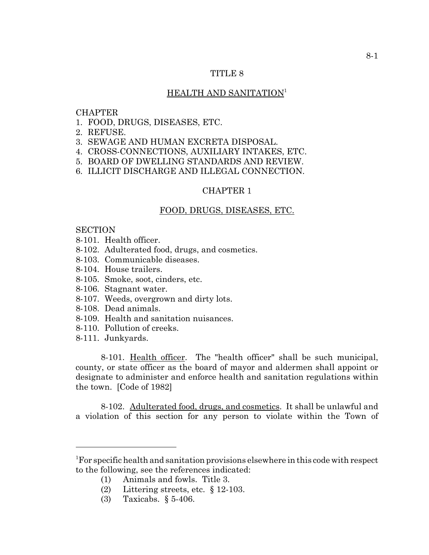## TITLE 8

### HEALTH AND SANITATION<sup>1</sup>

### **CHAPTER**

- 1. FOOD, DRUGS, DISEASES, ETC.
- 2. REFUSE.
- 3. SEWAGE AND HUMAN EXCRETA DISPOSAL.
- 4. CROSS-CONNECTIONS, AUXILIARY INTAKES, ETC.
- 5. BOARD OF DWELLING STANDARDS AND REVIEW.
- 6. ILLICIT DISCHARGE AND ILLEGAL CONNECTION.

#### CHAPTER 1

#### FOOD, DRUGS, DISEASES, ETC.

#### **SECTION**

- 8-101. Health officer.
- 8-102. Adulterated food, drugs, and cosmetics.
- 8-103. Communicable diseases.
- 8-104. House trailers.
- 8-105. Smoke, soot, cinders, etc.
- 8-106. Stagnant water.
- 8-107. Weeds, overgrown and dirty lots.
- 8-108. Dead animals.
- 8-109. Health and sanitation nuisances.
- 8-110. Pollution of creeks.
- 8-111. Junkyards.

8-101. Health officer. The "health officer" shall be such municipal, county, or state officer as the board of mayor and aldermen shall appoint or designate to administer and enforce health and sanitation regulations within the town. [Code of 1982]

8-102. Adulterated food, drugs, and cosmetics. It shall be unlawful and a violation of this section for any person to violate within the Town of

<sup>1</sup> For specific health and sanitation provisions elsewhere in this code with respect to the following, see the references indicated:

<sup>(1)</sup> Animals and fowls. Title 3.

<sup>(2)</sup> Littering streets, etc. § 12-103.

<sup>(3)</sup> Taxicabs. § 5-406.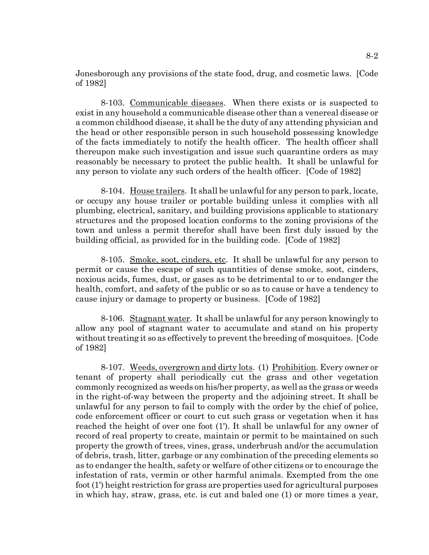Jonesborough any provisions of the state food, drug, and cosmetic laws. [Code of 1982]

8-103. Communicable diseases. When there exists or is suspected to exist in any household a communicable disease other than a venereal disease or a common childhood disease, it shall be the duty of any attending physician and the head or other responsible person in such household possessing knowledge of the facts immediately to notify the health officer. The health officer shall thereupon make such investigation and issue such quarantine orders as may reasonably be necessary to protect the public health. It shall be unlawful for any person to violate any such orders of the health officer. [Code of 1982]

8-104. House trailers. It shall be unlawful for any person to park, locate, or occupy any house trailer or portable building unless it complies with all plumbing, electrical, sanitary, and building provisions applicable to stationary structures and the proposed location conforms to the zoning provisions of the town and unless a permit therefor shall have been first duly issued by the building official, as provided for in the building code. [Code of 1982]

8-105. Smoke, soot, cinders, etc. It shall be unlawful for any person to permit or cause the escape of such quantities of dense smoke, soot, cinders, noxious acids, fumes, dust, or gases as to be detrimental to or to endanger the health, comfort, and safety of the public or so as to cause or have a tendency to cause injury or damage to property or business. [Code of 1982]

8-106. Stagnant water. It shall be unlawful for any person knowingly to allow any pool of stagnant water to accumulate and stand on his property without treating it so as effectively to prevent the breeding of mosquitoes. [Code of 1982]

8-107. Weeds, overgrown and dirty lots. (1) Prohibition. Every owner or tenant of property shall periodically cut the grass and other vegetation commonly recognized as weeds on his/her property, as well as the grass or weeds in the right-of-way between the property and the adjoining street. It shall be unlawful for any person to fail to comply with the order by the chief of police, code enforcement officer or court to cut such grass or vegetation when it has reached the height of over one foot (1'). It shall be unlawful for any owner of record of real property to create, maintain or permit to be maintained on such property the growth of trees, vines, grass, underbrush and/or the accumulation of debris, trash, litter, garbage or any combination of the preceding elements so as to endanger the health, safety or welfare of other citizens or to encourage the infestation of rats, vermin or other harmful animals. Exempted from the one foot (1') height restriction for grass are properties used for agricultural purposes in which hay, straw, grass, etc. is cut and baled one (1) or more times a year,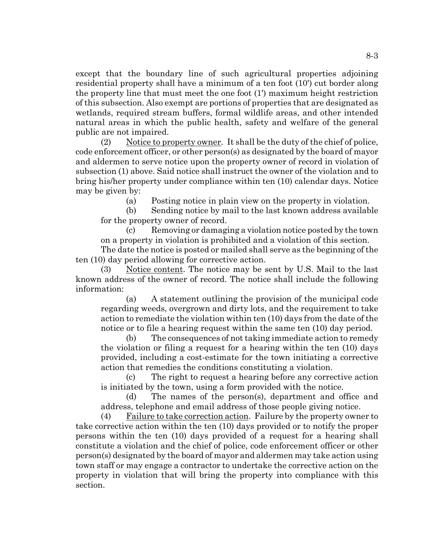except that the boundary line of such agricultural properties adjoining residential property shall have a minimum of a ten foot (10') cut border along the property line that must meet the one foot (1') maximum height restriction of this subsection. Also exempt are portions of properties that are designated as wetlands, required stream buffers, formal wildlife areas, and other intended natural areas in which the public health, safety and welfare of the general public are not impaired.

(2) Notice to property owner. It shall be the duty of the chief of police, code enforcement officer, or other person(s) as designated by the board of mayor and aldermen to serve notice upon the property owner of record in violation of subsection (1) above. Said notice shall instruct the owner of the violation and to bring his/her property under compliance within ten (10) calendar days. Notice may be given by:

(a) Posting notice in plain view on the property in violation.

(b) Sending notice by mail to the last known address available for the property owner of record.

(c) Removing or damaging a violation notice posted by the town on a property in violation is prohibited and a violation of this section.

The date the notice is posted or mailed shall serve as the beginning of the ten (10) day period allowing for corrective action.

(3) Notice content. The notice may be sent by U.S. Mail to the last known address of the owner of record. The notice shall include the following information:

(a) A statement outlining the provision of the municipal code regarding weeds, overgrown and dirty lots, and the requirement to take action to remediate the violation within ten (10) days from the date of the notice or to file a hearing request within the same ten (10) day period.

(b) The consequences of not taking immediate action to remedy the violation or filing a request for a hearing within the ten (10) days provided, including a cost-estimate for the town initiating a corrective action that remedies the conditions constituting a violation.

(c) The right to request a hearing before any corrective action is initiated by the town, using a form provided with the notice.

(d) The names of the person(s), department and office and address, telephone and email address of those people giving notice.

(4) Failure to take correction action. Failure by the property owner to take corrective action within the ten (10) days provided or to notify the proper persons within the ten (10) days provided of a request for a hearing shall constitute a violation and the chief of police, code enforcement officer or other person(s) designated by the board of mayor and aldermen may take action using town staff or may engage a contractor to undertake the corrective action on the property in violation that will bring the property into compliance with this section.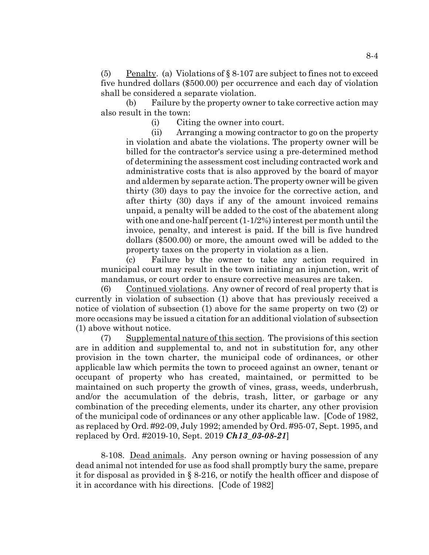(5) Penalty. (a) Violations of  $\S 8-107$  are subject to fines not to exceed five hundred dollars (\$500.00) per occurrence and each day of violation shall be considered a separate violation.

(b) Failure by the property owner to take corrective action may also result in the town:

(i) Citing the owner into court.

(ii) Arranging a mowing contractor to go on the property in violation and abate the violations. The property owner will be billed for the contractor's service using a pre-determined method of determining the assessment cost including contracted work and administrative costs that is also approved by the board of mayor and aldermen by separate action. The property owner will be given thirty (30) days to pay the invoice for the corrective action, and after thirty (30) days if any of the amount invoiced remains unpaid, a penalty will be added to the cost of the abatement along with one and one-half percent (1-1/2%) interest per month until the invoice, penalty, and interest is paid. If the bill is five hundred dollars (\$500.00) or more, the amount owed will be added to the property taxes on the property in violation as a lien.

(c) Failure by the owner to take any action required in municipal court may result in the town initiating an injunction, writ of mandamus, or court order to ensure corrective measures are taken.

(6) Continued violations. Any owner of record of real property that is currently in violation of subsection (1) above that has previously received a notice of violation of subsection (1) above for the same property on two (2) or more occasions may be issued a citation for an additional violation of subsection (1) above without notice.

(7) Supplemental nature of this section. The provisions of this section are in addition and supplemental to, and not in substitution for, any other provision in the town charter, the municipal code of ordinances, or other applicable law which permits the town to proceed against an owner, tenant or occupant of property who has created, maintained, or permitted to be maintained on such property the growth of vines, grass, weeds, underbrush, and/or the accumulation of the debris, trash, litter, or garbage or any combination of the preceding elements, under its charter, any other provision of the municipal code of ordinances or any other applicable law. [Code of 1982, as replaced by Ord. #92-09, July 1992; amended by Ord. #95-07, Sept. 1995, and replaced by Ord. #2019-10, Sept. 2019 *Ch13\_03-08-21*]

8-108. Dead animals. Any person owning or having possession of any dead animal not intended for use as food shall promptly bury the same, prepare it for disposal as provided in § 8-216, or notify the health officer and dispose of it in accordance with his directions. [Code of 1982]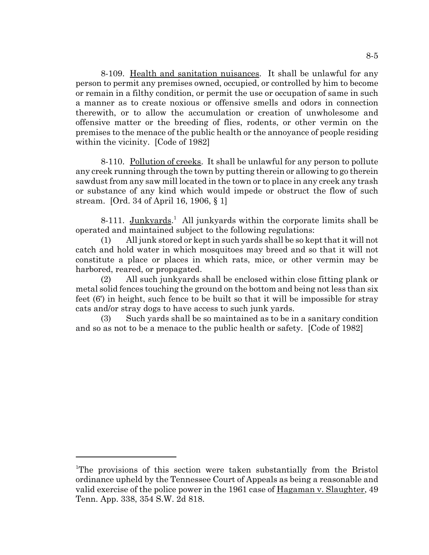8-109. Health and sanitation nuisances. It shall be unlawful for any person to permit any premises owned, occupied, or controlled by him to become or remain in a filthy condition, or permit the use or occupation of same in such a manner as to create noxious or offensive smells and odors in connection therewith, or to allow the accumulation or creation of unwholesome and offensive matter or the breeding of flies, rodents, or other vermin on the premises to the menace of the public health or the annoyance of people residing within the vicinity. [Code of 1982]

8-110. Pollution of creeks. It shall be unlawful for any person to pollute any creek running through the town by putting therein or allowing to go therein sawdust from any saw mill located in the town or to place in any creek any trash or substance of any kind which would impede or obstruct the flow of such stream. [Ord. 34 of April 16, 1906, § 1]

8-111. Junkyards.<sup>1</sup> All junkyards within the corporate limits shall be operated and maintained subject to the following regulations:

(1) All junk stored or kept in such yards shall be so kept that it will not catch and hold water in which mosquitoes may breed and so that it will not constitute a place or places in which rats, mice, or other vermin may be harbored, reared, or propagated.

(2) All such junkyards shall be enclosed within close fitting plank or metal solid fences touching the ground on the bottom and being not less than six feet (6') in height, such fence to be built so that it will be impossible for stray cats and/or stray dogs to have access to such junk yards.

(3) Such yards shall be so maintained as to be in a sanitary condition and so as not to be a menace to the public health or safety. [Code of 1982]

<sup>&</sup>lt;sup>1</sup>The provisions of this section were taken substantially from the Bristol ordinance upheld by the Tennessee Court of Appeals as being a reasonable and valid exercise of the police power in the 1961 case of Hagaman v. Slaughter, 49 Tenn. App. 338, 354 S.W. 2d 818.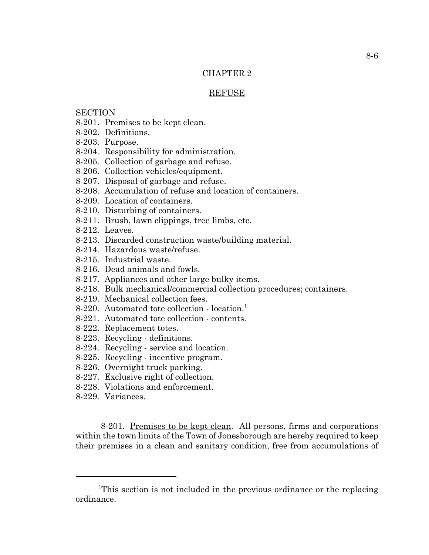## CHAPTER 2

### REFUSE

# **SECTION**

- 8-201. Premises to be kept clean.
- 8-202. Definitions.
- 8-203. Purpose.
- 8-204. Responsibility for administration.
- 8-205. Collection of garbage and refuse.
- 8-206. Collection vehicles/equipment.
- 8-207. Disposal of garbage and refuse.
- 8-208. Accumulation of refuse and location of containers.
- 8-209. Location of containers.
- 8-210. Disturbing of containers.
- 8-211. Brush, lawn clippings, tree limbs, etc.
- 8-212. Leaves.
- 8-213. Discarded construction waste/building material.
- 8-214. Hazardous waste/refuse.
- 8-215. Industrial waste.
- 8-216. Dead animals and fowls.
- 8-217. Appliances and other large bulky items.
- 8-218. Bulk mechanical/commercial collection procedures; containers.
- 8-219. Mechanical collection fees.
- 8-220. Automated tote collection location.<sup>1</sup>
- 8-221. Automated tote collection contents.
- 8-222. Replacement totes.
- 8-223. Recycling definitions.
- 8-224. Recycling service and location.
- 8-225. Recycling incentive program.
- 8-226. Overnight truck parking.
- 8-227. Exclusive right of collection.
- 8-228. Violations and enforcement.
- 8-229. Variances.

8-201. Premises to be kept clean. All persons, firms and corporations within the town limits of the Town of Jonesborough are hereby required to keep their premises in a clean and sanitary condition, free from accumulations of

<sup>&</sup>lt;sup>1</sup>This section is not included in the previous ordinance or the replacing ordinance.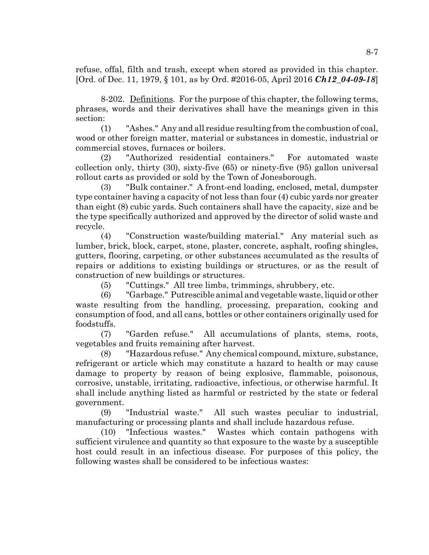refuse, offal, filth and trash, except when stored as provided in this chapter. [Ord. of Dec. 11, 1979, § 101, as by Ord. #2016-05, April 2016 *Ch12\_04-09-18*]

8-202. Definitions. For the purpose of this chapter, the following terms, phrases, words and their derivatives shall have the meanings given in this section:

(1) "Ashes." Any and all residue resulting from the combustion of coal, wood or other foreign matter, material or substances in domestic, industrial or commercial stoves, furnaces or boilers.

(2) "Authorized residential containers." For automated waste collection only, thirty (30), sixty-five (65) or ninety-five (95) gallon universal rollout carts as provided or sold by the Town of Jonesborough.

(3) "Bulk container." A front-end loading, enclosed, metal, dumpster type container having a capacity of not less than four (4) cubic yards nor greater than eight (8) cubic yards. Such containers shall have the capacity, size and be the type specifically authorized and approved by the director of solid waste and recycle.

(4) "Construction waste/building material." Any material such as lumber, brick, block, carpet, stone, plaster, concrete, asphalt, roofing shingles, gutters, flooring, carpeting, or other substances accumulated as the results of repairs or additions to existing buildings or structures, or as the result of construction of new buildings or structures.

(5) "Cuttings." All tree limbs, trimmings, shrubbery, etc.

(6) "Garbage." Putrescible animal and vegetable waste, liquid or other waste resulting from the handling, processing, preparation, cooking and consumption of food, and all cans, bottles or other containers originally used for foodstuffs.

(7) "Garden refuse." All accumulations of plants, stems, roots, vegetables and fruits remaining after harvest.

(8) "Hazardous refuse." Any chemical compound, mixture, substance, refrigerant or article which may constitute a hazard to health or may cause damage to property by reason of being explosive, flammable, poisonous, corrosive, unstable, irritating, radioactive, infectious, or otherwise harmful. It shall include anything listed as harmful or restricted by the state or federal government.

(9) "Industrial waste." All such wastes peculiar to industrial, manufacturing or processing plants and shall include hazardous refuse.

(10) "Infectious wastes." Wastes which contain pathogens with sufficient virulence and quantity so that exposure to the waste by a susceptible host could result in an infectious disease. For purposes of this policy, the following wastes shall be considered to be infectious wastes: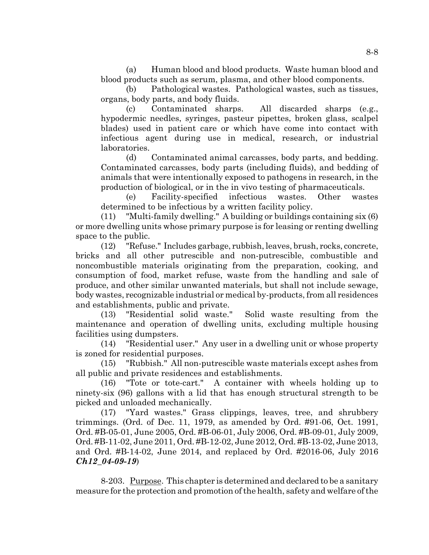(a) Human blood and blood products. Waste human blood and blood products such as serum, plasma, and other blood components.

(b) Pathological wastes. Pathological wastes, such as tissues, organs, body parts, and body fluids.

(c) Contaminated sharps. All discarded sharps (e.g., hypodermic needles, syringes, pasteur pipettes, broken glass, scalpel blades) used in patient care or which have come into contact with infectious agent during use in medical, research, or industrial laboratories.

(d) Contaminated animal carcasses, body parts, and bedding. Contaminated carcasses, body parts (including fluids), and bedding of animals that were intentionally exposed to pathogens in research, in the production of biological, or in the in vivo testing of pharmaceuticals.

(e) Facility-specified infectious wastes. Other wastes determined to be infectious by a written facility policy.

(11) "Multi-family dwelling." A building or buildings containing six (6) or more dwelling units whose primary purpose is for leasing or renting dwelling space to the public.

(12) "Refuse." Includes garbage, rubbish, leaves, brush, rocks, concrete, bricks and all other putrescible and non-putrescible, combustible and noncombustible materials originating from the preparation, cooking, and consumption of food, market refuse, waste from the handling and sale of produce, and other similar unwanted materials, but shall not include sewage, body wastes, recognizable industrial or medical by-products, from all residences and establishments, public and private.

(13) "Residential solid waste." Solid waste resulting from the maintenance and operation of dwelling units, excluding multiple housing facilities using dumpsters.

(14) "Residential user." Any user in a dwelling unit or whose property is zoned for residential purposes.

(15) "Rubbish." All non-putrescible waste materials except ashes from all public and private residences and establishments.

(16) "Tote or tote-cart." A container with wheels holding up to ninety-six (96) gallons with a lid that has enough structural strength to be picked and unloaded mechanically.

(17) "Yard wastes." Grass clippings, leaves, tree, and shrubbery trimmings. (Ord. of Dec. 11, 1979, as amended by Ord. #91-06, Oct. 1991, Ord. #B-05-01, June 2005, Ord. #B-06-01, July 2006, Ord. #B-09-01, July 2009, Ord. #B-11-02, June 2011, Ord. #B-12-02, June 2012, Ord. #B-13-02, June 2013, and Ord. #B-14-02, June 2014, and replaced by Ord. #2016-06, July 2016 *Ch12\_04-09-19*)

8-203. Purpose. This chapter is determined and declared to be a sanitary measure for the protection and promotion of the health, safety and welfare of the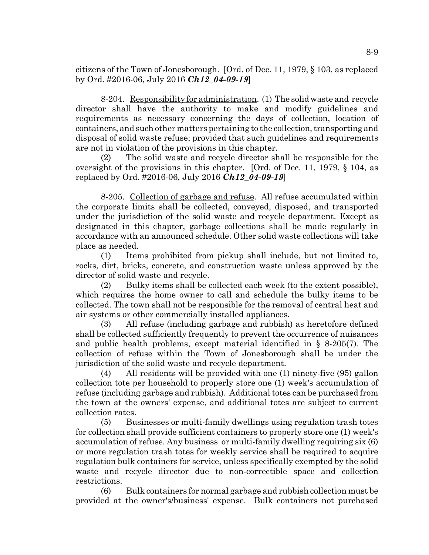citizens of the Town of Jonesborough. [Ord. of Dec. 11, 1979, § 103, as replaced by Ord. #2016-06, July 2016 *Ch12\_04-09-19*]

8-204. Responsibility for administration. (1) The solid waste and recycle director shall have the authority to make and modify guidelines and requirements as necessary concerning the days of collection, location of containers, and such other matters pertaining to the collection, transporting and disposal of solid waste refuse; provided that such guidelines and requirements are not in violation of the provisions in this chapter.

(2) The solid waste and recycle director shall be responsible for the oversight of the provisions in this chapter. [Ord. of Dec. 11, 1979, § 104, as replaced by Ord. #2016-06, July 2016 *Ch12\_04-09-19*]

8-205. Collection of garbage and refuse. All refuse accumulated within the corporate limits shall be collected, conveyed, disposed, and transported under the jurisdiction of the solid waste and recycle department. Except as designated in this chapter, garbage collections shall be made regularly in accordance with an announced schedule. Other solid waste collections will take place as needed.

(1) Items prohibited from pickup shall include, but not limited to, rocks, dirt, bricks, concrete, and construction waste unless approved by the director of solid waste and recycle.

(2) Bulky items shall be collected each week (to the extent possible), which requires the home owner to call and schedule the bulky items to be collected. The town shall not be responsible for the removal of central heat and air systems or other commercially installed appliances.

(3) All refuse (including garbage and rubbish) as heretofore defined shall be collected sufficiently frequently to prevent the occurrence of nuisances and public health problems, except material identified in § 8-205(7). The collection of refuse within the Town of Jonesborough shall be under the jurisdiction of the solid waste and recycle department.

(4) All residents will be provided with one (1) ninety-five (95) gallon collection tote per household to properly store one (1) week's accumulation of refuse (including garbage and rubbish). Additional totes can be purchased from the town at the owners' expense, and additional totes are subject to current collection rates.

(5) Businesses or multi-family dwellings using regulation trash totes for collection shall provide sufficient containers to properly store one (1) week's accumulation of refuse. Any business or multi-family dwelling requiring six (6) or more regulation trash totes for weekly service shall be required to acquire regulation bulk containers for service, unless specifically exempted by the solid waste and recycle director due to non-correctible space and collection restrictions.

(6) Bulk containers for normal garbage and rubbish collection must be provided at the owner's/business' expense. Bulk containers not purchased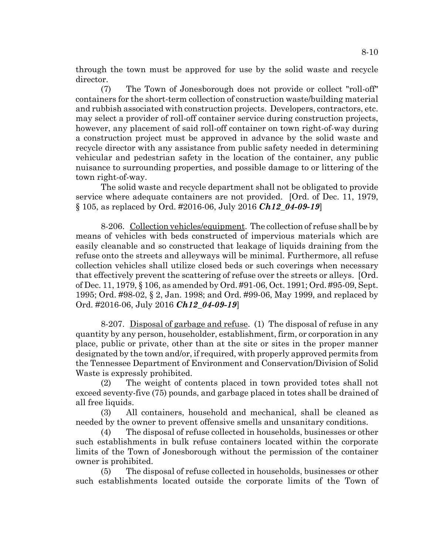through the town must be approved for use by the solid waste and recycle director.

(7) The Town of Jonesborough does not provide or collect "roll-off" containers for the short-term collection of construction waste/building material and rubbish associated with construction projects. Developers, contractors, etc. may select a provider of roll-off container service during construction projects, however, any placement of said roll-off container on town right-of-way during a construction project must be approved in advance by the solid waste and recycle director with any assistance from public safety needed in determining vehicular and pedestrian safety in the location of the container, any public nuisance to surrounding properties, and possible damage to or littering of the town right-of-way.

The solid waste and recycle department shall not be obligated to provide service where adequate containers are not provided. [Ord. of Dec. 11, 1979, § 105, as replaced by Ord. #2016-06, July 2016 *Ch12\_04-09-19*]

8-206. Collection vehicles/equipment. The collection of refuse shall be by means of vehicles with beds constructed of impervious materials which are easily cleanable and so constructed that leakage of liquids draining from the refuse onto the streets and alleyways will be minimal. Furthermore, all refuse collection vehicles shall utilize closed beds or such coverings when necessary that effectively prevent the scattering of refuse over the streets or alleys. [Ord. of Dec. 11, 1979, § 106, as amended by Ord. #91-06, Oct. 1991; Ord. #95-09, Sept. 1995; Ord. #98-02, § 2, Jan. 1998; and Ord. #99-06, May 1999, and replaced by Ord. #2016-06, July 2016 *Ch12\_04-09-19*]

8-207. Disposal of garbage and refuse. (1) The disposal of refuse in any quantity by any person, householder, establishment, firm, or corporation in any place, public or private, other than at the site or sites in the proper manner designated by the town and/or, if required, with properly approved permits from the Tennessee Department of Environment and Conservation/Division of Solid Waste is expressly prohibited.

(2) The weight of contents placed in town provided totes shall not exceed seventy-five (75) pounds, and garbage placed in totes shall be drained of all free liquids.

(3) All containers, household and mechanical, shall be cleaned as needed by the owner to prevent offensive smells and unsanitary conditions.

(4) The disposal of refuse collected in households, businesses or other such establishments in bulk refuse containers located within the corporate limits of the Town of Jonesborough without the permission of the container owner is prohibited.

(5) The disposal of refuse collected in households, businesses or other such establishments located outside the corporate limits of the Town of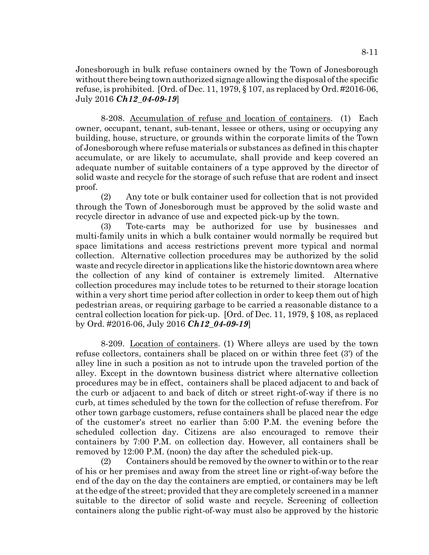Jonesborough in bulk refuse containers owned by the Town of Jonesborough without there being town authorized signage allowing the disposal of the specific refuse, is prohibited. [Ord. of Dec. 11, 1979,  $\S$  107, as replaced by Ord. #2016-06, July 2016 *Ch12\_04-09-19*]

8-208. Accumulation of refuse and location of containers. (1) Each owner, occupant, tenant, sub-tenant, lessee or others, using or occupying any building, house, structure, or grounds within the corporate limits of the Town of Jonesborough where refuse materials or substances as defined in this chapter accumulate, or are likely to accumulate, shall provide and keep covered an adequate number of suitable containers of a type approved by the director of solid waste and recycle for the storage of such refuse that are rodent and insect proof.

(2) Any tote or bulk container used for collection that is not provided through the Town of Jonesborough must be approved by the solid waste and recycle director in advance of use and expected pick-up by the town.

(3) Tote-carts may be authorized for use by businesses and multi-family units in which a bulk container would normally be required but space limitations and access restrictions prevent more typical and normal collection. Alternative collection procedures may be authorized by the solid waste and recycle director in applications like the historic downtown area where the collection of any kind of container is extremely limited. Alternative collection procedures may include totes to be returned to their storage location within a very short time period after collection in order to keep them out of high pedestrian areas, or requiring garbage to be carried a reasonable distance to a central collection location for pick-up. [Ord. of Dec. 11, 1979, § 108, as replaced by Ord. #2016-06, July 2016 *Ch12\_04-09-19*]

8-209. Location of containers. (1) Where alleys are used by the town refuse collectors, containers shall be placed on or within three feet (3') of the alley line in such a position as not to intrude upon the traveled portion of the alley. Except in the downtown business district where alternative collection procedures may be in effect, containers shall be placed adjacent to and back of the curb or adjacent to and back of ditch or street right-of-way if there is no curb, at times scheduled by the town for the collection of refuse therefrom. For other town garbage customers, refuse containers shall be placed near the edge of the customer's street no earlier than 5:00 P.M. the evening before the scheduled collection day. Citizens are also encouraged to remove their containers by 7:00 P.M. on collection day. However, all containers shall be removed by 12:00 P.M. (noon) the day after the scheduled pick-up.

(2) Containers should be removed by the owner to within or to the rear of his or her premises and away from the street line or right-of-way before the end of the day on the day the containers are emptied, or containers may be left at the edge of the street; provided that they are completely screened in a manner suitable to the director of solid waste and recycle. Screening of collection containers along the public right-of-way must also be approved by the historic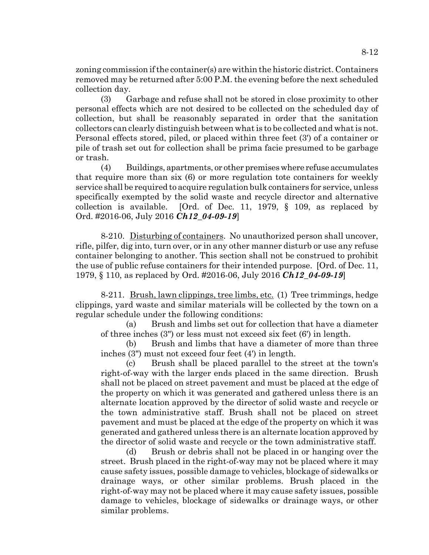zoning commission if the container(s) are within the historic district. Containers removed may be returned after 5:00 P.M. the evening before the next scheduled collection day.

(3) Garbage and refuse shall not be stored in close proximity to other personal effects which are not desired to be collected on the scheduled day of collection, but shall be reasonably separated in order that the sanitation collectors can clearly distinguish between what is to be collected and what is not. Personal effects stored, piled, or placed within three feet (3') of a container or pile of trash set out for collection shall be prima facie presumed to be garbage or trash.

(4) Buildings, apartments, or other premises where refuse accumulates that require more than six (6) or more regulation tote containers for weekly service shall be required to acquire regulation bulk containers for service, unless specifically exempted by the solid waste and recycle director and alternative collection is available. [Ord. of Dec. 11, 1979, § 109, as replaced by Ord. #2016-06, July 2016 *Ch12\_04-09-19*]

8-210. Disturbing of containers. No unauthorized person shall uncover, rifle, pilfer, dig into, turn over, or in any other manner disturb or use any refuse container belonging to another. This section shall not be construed to prohibit the use of public refuse containers for their intended purpose. [Ord. of Dec. 11, 1979, § 110, as replaced by Ord. #2016-06, July 2016 *Ch12\_04-09-19*]

8-211. Brush, lawn clippings, tree limbs, etc. (1) Tree trimmings, hedge clippings, yard waste and similar materials will be collected by the town on a regular schedule under the following conditions:

(a) Brush and limbs set out for collection that have a diameter of three inches (3") or less must not exceed six feet (6') in length.

(b) Brush and limbs that have a diameter of more than three inches (3") must not exceed four feet (4') in length.

(c) Brush shall be placed parallel to the street at the town's right-of-way with the larger ends placed in the same direction. Brush shall not be placed on street pavement and must be placed at the edge of the property on which it was generated and gathered unless there is an alternate location approved by the director of solid waste and recycle or the town administrative staff. Brush shall not be placed on street pavement and must be placed at the edge of the property on which it was generated and gathered unless there is an alternate location approved by the director of solid waste and recycle or the town administrative staff.

(d) Brush or debris shall not be placed in or hanging over the street. Brush placed in the right-of-way may not be placed where it may cause safety issues, possible damage to vehicles, blockage of sidewalks or drainage ways, or other similar problems. Brush placed in the right-of-way may not be placed where it may cause safety issues, possible damage to vehicles, blockage of sidewalks or drainage ways, or other similar problems.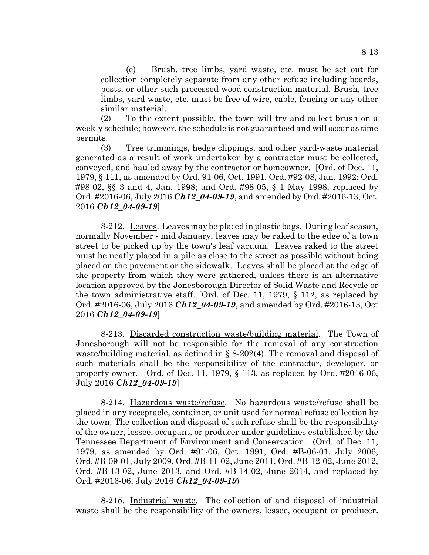(e) Brush, tree limbs, yard waste, etc. must be set out for collection completely separate from any other refuse including boards, posts, or other such processed wood construction material. Brush, tree limbs, yard waste, etc. must be free of wire, cable, fencing or any other similar material.

(2) To the extent possible, the town will try and collect brush on a weekly schedule; however, the schedule is not guaranteed and will occur as time permits.

(3) Tree trimmings, hedge clippings, and other yard-waste material generated as a result of work undertaken by a contractor must be collected, conveyed, and hauled away by the contractor or homeowner. [Ord. of Dec. 11, 1979, § 111, as amended by Ord. 91-06, Oct. 1991, Ord. #92-08, Jan. 1992; Ord. #98-02, §§ 3 and 4, Jan. 1998; and Ord. #98-05, § 1 May 1998, replaced by Ord. #2016-06, July 2016 *Ch12\_04-09-19*, and amended by Ord. #2016-13, Oct. 2016 *Ch12\_04-09-19*]

8-212. Leaves. Leaves may be placed in plastic bags. During leaf season, normally November - mid January, leaves may be raked to the edge of a town street to be picked up by the town's leaf vacuum. Leaves raked to the street must be neatly placed in a pile as close to the street as possible without being placed on the pavement or the sidewalk. Leaves shall be placed at the edge of the property from which they were gathered, unless there is an alternative location approved by the Jonesborough Director of Solid Waste and Recycle or the town administrative staff. [Ord. of Dec. 11, 1979, § 112, as replaced by Ord. #2016-06, July 2016 *Ch12\_04-09-19*, and amended by Ord. #2016-13, Oct 2016 *Ch12\_04-09-19*]

8-213. Discarded construction waste/building material. The Town of Jonesborough will not be responsible for the removal of any construction waste/building material, as defined in § 8-202(4). The removal and disposal of such materials shall be the responsibility of the contractor, developer, or property owner. [Ord. of Dec. 11, 1979, § 113, as replaced by Ord. #2016-06, July 2016 *Ch12\_04-09-19*]

8-214. Hazardous waste/refuse. No hazardous waste/refuse shall be placed in any receptacle, container, or unit used for normal refuse collection by the town. The collection and disposal of such refuse shall be the responsibility of the owner, lessee, occupant, or producer under guidelines established by the Tennessee Department of Environment and Conservation. (Ord. of Dec. 11, 1979, as amended by Ord. #91-06, Oct. 1991, Ord. #B-06-01, July 2006, Ord. #B-09-01, July 2009, Ord. #B-11-02, June 2011, Ord. #B-12-02, June 2012, Ord. #B-13-02, June 2013, and Ord. #B-14-02, June 2014, and replaced by Ord. #2016-06, July 2016 *Ch12\_04-09-19*)

8-215. Industrial waste. The collection of and disposal of industrial waste shall be the responsibility of the owners, lessee, occupant or producer.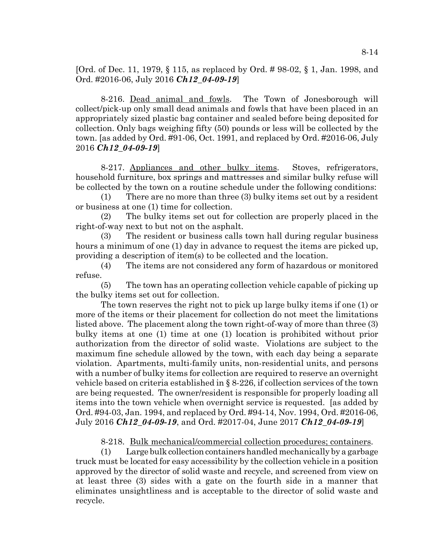[Ord. of Dec. 11, 1979, § 115, as replaced by Ord. # 98-02, § 1, Jan. 1998, and Ord. #2016-06, July 2016 *Ch12\_04-09-19*]

8-216. Dead animal and fowls. The Town of Jonesborough will collect/pick-up only small dead animals and fowls that have been placed in an appropriately sized plastic bag container and sealed before being deposited for collection. Only bags weighing fifty (50) pounds or less will be collected by the town. [as added by Ord. #91-06, Oct. 1991, and replaced by Ord. #2016-06, July 2016 *Ch12\_04-09-19*]

8-217. Appliances and other bulky items. Stoves, refrigerators, household furniture, box springs and mattresses and similar bulky refuse will be collected by the town on a routine schedule under the following conditions:

(1) There are no more than three (3) bulky items set out by a resident or business at one (1) time for collection.

(2) The bulky items set out for collection are properly placed in the right-of-way next to but not on the asphalt.

(3) The resident or business calls town hall during regular business hours a minimum of one (1) day in advance to request the items are picked up, providing a description of item(s) to be collected and the location.

(4) The items are not considered any form of hazardous or monitored refuse.

(5) The town has an operating collection vehicle capable of picking up the bulky items set out for collection.

The town reserves the right not to pick up large bulky items if one (1) or more of the items or their placement for collection do not meet the limitations listed above. The placement along the town right-of-way of more than three (3) bulky items at one (1) time at one (1) location is prohibited without prior authorization from the director of solid waste. Violations are subject to the maximum fine schedule allowed by the town, with each day being a separate violation. Apartments, multi-family units, non-residential units, and persons with a number of bulky items for collection are required to reserve an overnight vehicle based on criteria established in § 8-226, if collection services of the town are being requested. The owner/resident is responsible for properly loading all items into the town vehicle when overnight service is requested. [as added by Ord. #94-03, Jan. 1994, and replaced by Ord. #94-14, Nov. 1994, Ord. #2016-06, July 2016 *Ch12\_04-09-19*, and Ord. #2017-04, June 2017 *Ch12\_04-09-19*]

8-218. Bulk mechanical/commercial collection procedures; containers.

(1) Large bulk collection containers handled mechanically by a garbage truck must be located for easy accessibility by the collection vehicle in a position approved by the director of solid waste and recycle, and screened from view on at least three (3) sides with a gate on the fourth side in a manner that eliminates unsightliness and is acceptable to the director of solid waste and recycle.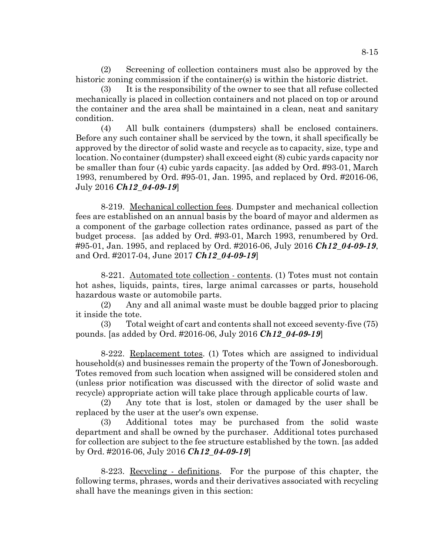(2) Screening of collection containers must also be approved by the historic zoning commission if the container(s) is within the historic district.

(3) It is the responsibility of the owner to see that all refuse collected mechanically is placed in collection containers and not placed on top or around the container and the area shall be maintained in a clean, neat and sanitary condition.

(4) All bulk containers (dumpsters) shall be enclosed containers. Before any such container shall be serviced by the town, it shall specifically be approved by the director of solid waste and recycle as to capacity, size, type and location. No container (dumpster) shall exceed eight (8) cubic yards capacity nor be smaller than four (4) cubic yards capacity. [as added by Ord. #93-01, March 1993, renumbered by Ord. #95-01, Jan. 1995, and replaced by Ord. #2016-06, July 2016 *Ch12\_04-09-19*]

8-219. Mechanical collection fees. Dumpster and mechanical collection fees are established on an annual basis by the board of mayor and aldermen as a component of the garbage collection rates ordinance, passed as part of the budget process. [as added by Ord. #93-01, March 1993, renumbered by Ord. #95-01, Jan. 1995, and replaced by Ord. #2016-06, July 2016 *Ch12\_04-09-19*, and Ord. #2017-04, June 2017 *Ch12\_04-09-19*]

8-221. Automated tote collection - contents. (1) Totes must not contain hot ashes, liquids, paints, tires, large animal carcasses or parts, household hazardous waste or automobile parts.

(2) Any and all animal waste must be double bagged prior to placing it inside the tote.

(3) Total weight of cart and contents shall not exceed seventy-five (75) pounds. [as added by Ord. #2016-06, July 2016 *Ch12\_04-09-19*]

8-222. Replacement totes. (1) Totes which are assigned to individual household(s) and businesses remain the property of the Town of Jonesborough. Totes removed from such location when assigned will be considered stolen and (unless prior notification was discussed with the director of solid waste and recycle) appropriate action will take place through applicable courts of law.

(2) Any tote that is lost, stolen or damaged by the user shall be replaced by the user at the user's own expense.

(3) Additional totes may be purchased from the solid waste department and shall be owned by the purchaser. Additional totes purchased for collection are subject to the fee structure established by the town. [as added by Ord. #2016-06, July 2016 *Ch12\_04-09-19*]

8-223. Recycling - definitions. For the purpose of this chapter, the following terms, phrases, words and their derivatives associated with recycling shall have the meanings given in this section: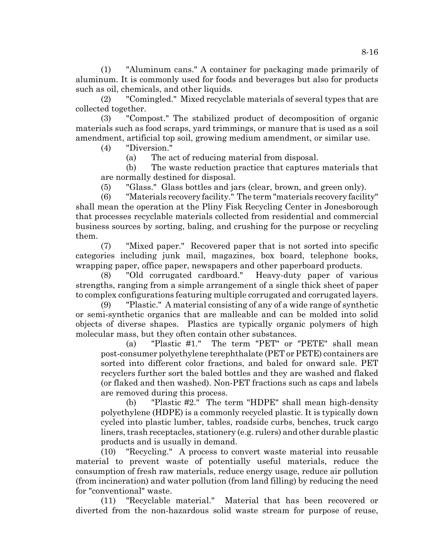(1) "Aluminum cans." A container for packaging made primarily of aluminum. It is commonly used for foods and beverages but also for products such as oil, chemicals, and other liquids.

(2) "Comingled." Mixed recyclable materials of several types that are collected together.

(3) "Compost." The stabilized product of decomposition of organic materials such as food scraps, yard trimmings, or manure that is used as a soil amendment, artificial top soil, growing medium amendment, or similar use.

(4) "Diversion."

(a) The act of reducing material from disposal.

(b) The waste reduction practice that captures materials that are normally destined for disposal.

(5) "Glass." Glass bottles and jars (clear, brown, and green only).

(6) "Materials recovery facility." The term "materials recovery facility" shall mean the operation at the Pliny Fisk Recycling Center in Jonesborough that processes recyclable materials collected from residential and commercial business sources by sorting, baling, and crushing for the purpose or recycling them.

(7) "Mixed paper." Recovered paper that is not sorted into specific categories including junk mail, magazines, box board, telephone books, wrapping paper, office paper, newspapers and other paperboard products.

(8) "Old corrugated cardboard." Heavy-duty paper of various strengths, ranging from a simple arrangement of a single thick sheet of paper to complex configurations featuring multiple corrugated and corrugated layers.

(9) "Plastic." A material consisting of any of a wide range of synthetic or semi-synthetic organics that are malleable and can be molded into solid objects of diverse shapes. Plastics are typically organic polymers of high molecular mass, but they often contain other substances.

(a) "Plastic #1." The term "PET" or "PETE" shall mean post-consumer polyethylene terephthalate (PET or PETE) containers are sorted into different color fractions, and baled for onward sale. PET recyclers further sort the baled bottles and they are washed and flaked (or flaked and then washed). Non-PET fractions such as caps and labels are removed during this process.

(b) "Plastic #2." The term "HDPE" shall mean high-density polyethylene (HDPE) is a commonly recycled plastic. It is typically down cycled into plastic lumber, tables, roadside curbs, benches, truck cargo liners, trash receptacles, stationery (e.g. rulers) and other durable plastic products and is usually in demand.

(10) "Recycling." A process to convert waste material into reusable material to prevent waste of potentially useful materials, reduce the consumption of fresh raw materials, reduce energy usage, reduce air pollution (from incineration) and water pollution (from land filling) by reducing the need for "conventional" waste.

(11) "Recyclable material." Material that has been recovered or diverted from the non-hazardous solid waste stream for purpose of reuse,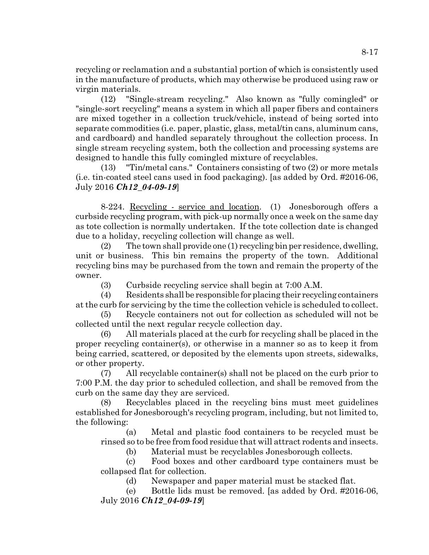recycling or reclamation and a substantial portion of which is consistently used in the manufacture of products, which may otherwise be produced using raw or virgin materials.

(12) "Single-stream recycling." Also known as "fully comingled" or "single-sort recycling" means a system in which all paper fibers and containers are mixed together in a collection truck/vehicle, instead of being sorted into separate commodities (i.e. paper, plastic, glass, metal/tin cans, aluminum cans, and cardboard) and handled separately throughout the collection process. In single stream recycling system, both the collection and processing systems are designed to handle this fully comingled mixture of recyclables.

(13) "Tin/metal cans." Containers consisting of two (2) or more metals (i.e. tin-coated steel cans used in food packaging). [as added by Ord. #2016-06, July 2016 *Ch12\_04-09-19*]

8-224. Recycling - service and location. (1) Jonesborough offers a curbside recycling program, with pick-up normally once a week on the same day as tote collection is normally undertaken. If the tote collection date is changed due to a holiday, recycling collection will change as well.

(2) The town shall provide one (1) recycling bin per residence, dwelling, unit or business. This bin remains the property of the town. Additional recycling bins may be purchased from the town and remain the property of the owner.

(3) Curbside recycling service shall begin at 7:00 A.M.

(4) Residents shall be responsible for placing their recycling containers at the curb for servicing by the time the collection vehicle is scheduled to collect.

(5) Recycle containers not out for collection as scheduled will not be collected until the next regular recycle collection day.

(6) All materials placed at the curb for recycling shall be placed in the proper recycling container(s), or otherwise in a manner so as to keep it from being carried, scattered, or deposited by the elements upon streets, sidewalks, or other property.

(7) All recyclable container(s) shall not be placed on the curb prior to 7:00 P.M. the day prior to scheduled collection, and shall be removed from the curb on the same day they are serviced.

(8) Recyclables placed in the recycling bins must meet guidelines established for Jonesborough's recycling program, including, but not limited to, the following:

(a) Metal and plastic food containers to be recycled must be rinsed so to be free from food residue that will attract rodents and insects.

(b) Material must be recyclables Jonesborough collects.

(c) Food boxes and other cardboard type containers must be collapsed flat for collection.

(d) Newspaper and paper material must be stacked flat.

(e) Bottle lids must be removed. [as added by Ord. #2016-06, July 2016 *Ch12\_04-09-19*]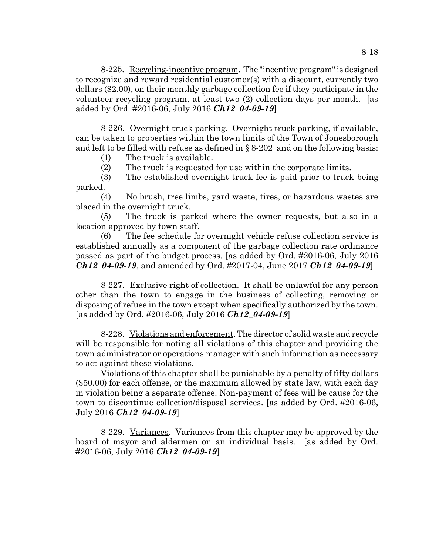8-225. Recycling-incentive program. The "incentive program" is designed to recognize and reward residential customer(s) with a discount, currently two dollars (\$2.00), on their monthly garbage collection fee if they participate in the volunteer recycling program, at least two (2) collection days per month. [as added by Ord. #2016-06, July 2016 *Ch12\_04-09-19*]

8-226. Overnight truck parking. Overnight truck parking, if available, can be taken to properties within the town limits of the Town of Jonesborough and left to be filled with refuse as defined in § 8-202 and on the following basis:

(1) The truck is available.

(2) The truck is requested for use within the corporate limits.

(3) The established overnight truck fee is paid prior to truck being parked.

(4) No brush, tree limbs, yard waste, tires, or hazardous wastes are placed in the overnight truck.

(5) The truck is parked where the owner requests, but also in a location approved by town staff.

(6) The fee schedule for overnight vehicle refuse collection service is established annually as a component of the garbage collection rate ordinance passed as part of the budget process. [as added by Ord. #2016-06, July 2016 *Ch12\_04-09-19*, and amended by Ord. #2017-04, June 2017 *Ch12\_04-09-19*]

8-227. Exclusive right of collection. It shall be unlawful for any person other than the town to engage in the business of collecting, removing or disposing of refuse in the town except when specifically authorized by the town. [as added by Ord. #2016-06, July 2016 *Ch12\_04-09-19*]

8-228. Violations and enforcement. The director of solid waste and recycle will be responsible for noting all violations of this chapter and providing the town administrator or operations manager with such information as necessary to act against these violations.

Violations of this chapter shall be punishable by a penalty of fifty dollars (\$50.00) for each offense, or the maximum allowed by state law, with each day in violation being a separate offense. Non-payment of fees will be cause for the town to discontinue collection/disposal services. [as added by Ord. #2016-06, July 2016 *Ch12\_04-09-19*]

8-229. Variances. Variances from this chapter may be approved by the board of mayor and aldermen on an individual basis. [as added by Ord. #2016-06, July 2016 *Ch12\_04-09-19*]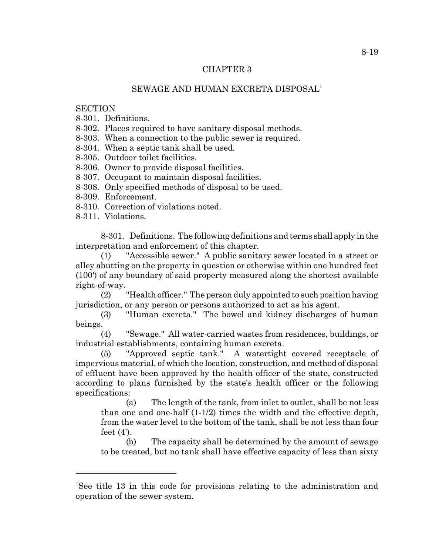## CHAPTER 3

## SEWAGE AND HUMAN EXCRETA DISPOSAL1

## **SECTION**

8-301. Definitions.

8-302. Places required to have sanitary disposal methods.

8-303. When a connection to the public sewer is required.

8-304. When a septic tank shall be used.

8-305. Outdoor toilet facilities.

8-306. Owner to provide disposal facilities.

8-307. Occupant to maintain disposal facilities.

8-308. Only specified methods of disposal to be used.

- 8-309. Enforcement.
- 8-310. Correction of violations noted.
- 8-311. Violations.

8-301. Definitions. The following definitions and terms shall apply in the interpretation and enforcement of this chapter.

(1) "Accessible sewer." A public sanitary sewer located in a street or alley abutting on the property in question or otherwise within one hundred feet (100') of any boundary of said property measured along the shortest available right-of-way.

(2) "Health officer." The person duly appointed to such position having jurisdiction, or any person or persons authorized to act as his agent.

(3) "Human excreta." The bowel and kidney discharges of human beings.

(4) "Sewage." All water-carried wastes from residences, buildings, or industrial establishments, containing human excreta.

(5) "Approved septic tank." A watertight covered receptacle of impervious material, of which the location, construction, and method of disposal of effluent have been approved by the health officer of the state, constructed according to plans furnished by the state's health officer or the following specifications:

(a) The length of the tank, from inlet to outlet, shall be not less than one and one-half (1-1/2) times the width and the effective depth, from the water level to the bottom of the tank, shall be not less than four feet (4').

(b) The capacity shall be determined by the amount of sewage to be treated, but no tank shall have effective capacity of less than sixty

<sup>&</sup>lt;sup>1</sup>See title 13 in this code for provisions relating to the administration and operation of the sewer system.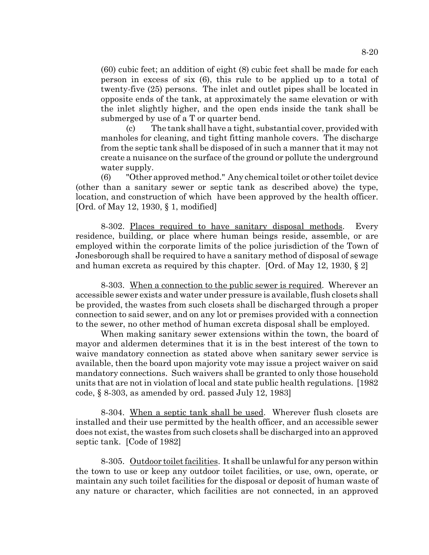(60) cubic feet; an addition of eight (8) cubic feet shall be made for each person in excess of six (6), this rule to be applied up to a total of twenty-five (25) persons. The inlet and outlet pipes shall be located in opposite ends of the tank, at approximately the same elevation or with the inlet slightly higher, and the open ends inside the tank shall be submerged by use of a T or quarter bend.

(c) The tank shall have a tight, substantial cover, provided with manholes for cleaning, and tight fitting manhole covers. The discharge from the septic tank shall be disposed of in such a manner that it may not create a nuisance on the surface of the ground or pollute the underground water supply.

(6) "Other approved method." Any chemical toilet or other toilet device (other than a sanitary sewer or septic tank as described above) the type, location, and construction of which have been approved by the health officer. [Ord. of May 12, 1930, § 1, modified]

8-302. Places required to have sanitary disposal methods. Every residence, building, or place where human beings reside, assemble, or are employed within the corporate limits of the police jurisdiction of the Town of Jonesborough shall be required to have a sanitary method of disposal of sewage and human excreta as required by this chapter. [Ord. of May 12, 1930, § 2]

8-303. When a connection to the public sewer is required. Wherever an accessible sewer exists and water under pressure is available, flush closets shall be provided, the wastes from such closets shall be discharged through a proper connection to said sewer, and on any lot or premises provided with a connection to the sewer, no other method of human excreta disposal shall be employed.

When making sanitary sewer extensions within the town, the board of mayor and aldermen determines that it is in the best interest of the town to waive mandatory connection as stated above when sanitary sewer service is available, then the board upon majority vote may issue a project waiver on said mandatory connections. Such waivers shall be granted to only those household units that are not in violation of local and state public health regulations. [1982 code, § 8-303, as amended by ord. passed July 12, 1983]

8-304. When a septic tank shall be used. Wherever flush closets are installed and their use permitted by the health officer, and an accessible sewer does not exist, the wastes from such closets shall be discharged into an approved septic tank. [Code of 1982]

8-305. Outdoor toilet facilities. It shall be unlawful for any person within the town to use or keep any outdoor toilet facilities, or use, own, operate, or maintain any such toilet facilities for the disposal or deposit of human waste of any nature or character, which facilities are not connected, in an approved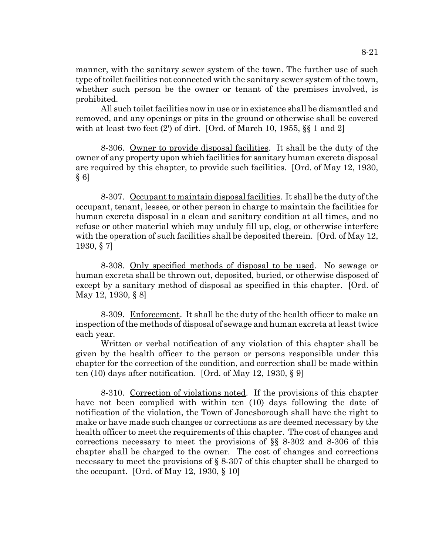manner, with the sanitary sewer system of the town. The further use of such type of toilet facilities not connected with the sanitary sewer system of the town, whether such person be the owner or tenant of the premises involved, is prohibited.

All such toilet facilities now in use or in existence shall be dismantled and removed, and any openings or pits in the ground or otherwise shall be covered with at least two feet  $(2')$  of dirt. [Ord. of March 10, 1955,  $\S$  1 and 2]

8-306. Owner to provide disposal facilities. It shall be the duty of the owner of any property upon which facilities for sanitary human excreta disposal are required by this chapter, to provide such facilities. [Ord. of May 12, 1930,  $§ 6]$ 

8-307. Occupant to maintain disposal facilities. It shall be the duty of the occupant, tenant, lessee, or other person in charge to maintain the facilities for human excreta disposal in a clean and sanitary condition at all times, and no refuse or other material which may unduly fill up, clog, or otherwise interfere with the operation of such facilities shall be deposited therein. [Ord. of May 12, 1930, § 7]

8-308. Only specified methods of disposal to be used. No sewage or human excreta shall be thrown out, deposited, buried, or otherwise disposed of except by a sanitary method of disposal as specified in this chapter. [Ord. of May 12, 1930, § 8]

8-309. Enforcement. It shall be the duty of the health officer to make an inspection of the methods of disposal of sewage and human excreta at least twice each year.

Written or verbal notification of any violation of this chapter shall be given by the health officer to the person or persons responsible under this chapter for the correction of the condition, and correction shall be made within ten (10) days after notification. [Ord. of May 12, 1930, § 9]

8-310. Correction of violations noted. If the provisions of this chapter have not been complied with within ten (10) days following the date of notification of the violation, the Town of Jonesborough shall have the right to make or have made such changes or corrections as are deemed necessary by the health officer to meet the requirements of this chapter. The cost of changes and corrections necessary to meet the provisions of  $\S$  8-302 and 8-306 of this chapter shall be charged to the owner. The cost of changes and corrections necessary to meet the provisions of § 8-307 of this chapter shall be charged to the occupant. [Ord. of May 12, 1930,  $\S$  10]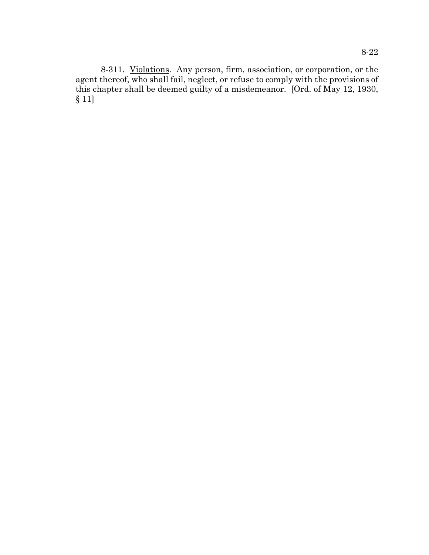8-311. Violations. Any person, firm, association, or corporation, or the agent thereof, who shall fail, neglect, or refuse to comply with the provisions of this chapter shall be deemed guilty of a misdemeanor. [Ord. of May 12, 1930, § 11]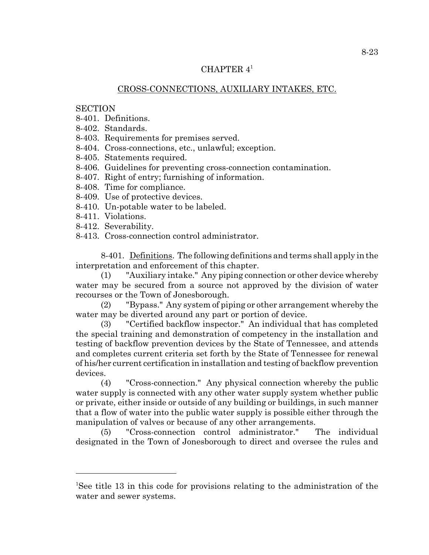## CHAPTER 4<sup>1</sup>

## CROSS-CONNECTIONS, AUXILIARY INTAKES, ETC.

## **SECTION**

- 8-401. Definitions.
- 8-402. Standards.
- 8-403. Requirements for premises served.
- 8-404. Cross-connections, etc., unlawful; exception.
- 8-405. Statements required.
- 8-406. Guidelines for preventing cross-connection contamination.
- 8-407. Right of entry; furnishing of information.
- 8-408. Time for compliance.
- 8-409. Use of protective devices.
- 8-410. Un-potable water to be labeled.
- 8-411. Violations.
- 8-412. Severability.
- 8-413. Cross-connection control administrator.

8-401. Definitions. The following definitions and terms shall apply in the interpretation and enforcement of this chapter.

(1) "Auxiliary intake." Any piping connection or other device whereby water may be secured from a source not approved by the division of water recourses or the Town of Jonesborough.

(2) "Bypass." Any system of piping or other arrangement whereby the water may be diverted around any part or portion of device.

(3) "Certified backflow inspector." An individual that has completed the special training and demonstration of competency in the installation and testing of backflow prevention devices by the State of Tennessee, and attends and completes current criteria set forth by the State of Tennessee for renewal of his/her current certification in installation and testing of backflow prevention devices.

(4) "Cross-connection." Any physical connection whereby the public water supply is connected with any other water supply system whether public or private, either inside or outside of any building or buildings, in such manner that a flow of water into the public water supply is possible either through the manipulation of valves or because of any other arrangements.

(5) "Cross-connection control administrator." The individual designated in the Town of Jonesborough to direct and oversee the rules and

<sup>&</sup>lt;sup>1</sup>See title 13 in this code for provisions relating to the administration of the water and sewer systems.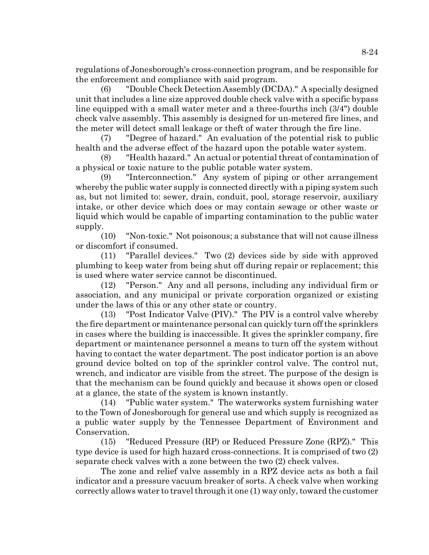regulations of Jonesborough's cross-connection program, and be responsible for the enforcement and compliance with said program.

(6) "Double Check Detection Assembly (DCDA)." A specially designed unit that includes a line size approved double check valve with a specific bypass line equipped with a small water meter and a three-fourths inch (3/4") double check valve assembly. This assembly is designed for un-metered fire lines, and the meter will detect small leakage or theft of water through the fire line.

(7) "Degree of hazard." An evaluation of the potential risk to public health and the adverse effect of the hazard upon the potable water system.

(8) "Health hazard." An actual or potential threat of contamination of a physical or toxic nature to the public potable water system.

(9) "Interconnection." Any system of piping or other arrangement whereby the public water supply is connected directly with a piping system such as, but not limited to: sewer, drain, conduit, pool, storage reservoir, auxiliary intake, or other device which does or may contain sewage or other waste or liquid which would be capable of imparting contamination to the public water supply.

(10) "Non-toxic." Not poisonous; a substance that will not cause illness or discomfort if consumed.

(11) "Parallel devices." Two (2) devices side by side with approved plumbing to keep water from being shut off during repair or replacement; this is used where water service cannot be discontinued.

(12) "Person." Any and all persons, including any individual firm or association, and any municipal or private corporation organized or existing under the laws of this or any other state or country.

(13) "Post Indicator Valve (PIV)." The PIV is a control valve whereby the fire department or maintenance personal can quickly turn off the sprinklers in cases where the building is inaccessible. It gives the sprinkler company, fire department or maintenance personnel a means to turn off the system without having to contact the water department. The post indicator portion is an above ground device bolted on top of the sprinkler control valve. The control nut, wrench, and indicator are visible from the street. The purpose of the design is that the mechanism can be found quickly and because it shows open or closed at a glance, the state of the system is known instantly.

(14) "Public water system." The waterworks system furnishing water to the Town of Jonesborough for general use and which supply is recognized as a public water supply by the Tennessee Department of Environment and Conservation.

(15) "Reduced Pressure (RP) or Reduced Pressure Zone (RPZ)." This type device is used for high hazard cross-connections. It is comprised of two (2) separate check valves with a zone between the two (2) check valves.

The zone and relief valve assembly in a RPZ device acts as both a fail indicator and a pressure vacuum breaker of sorts. A check valve when working correctly allows water to travel through it one (1) way only, toward the customer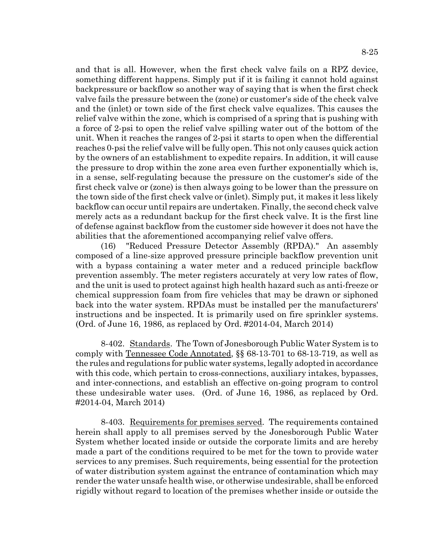and that is all. However, when the first check valve fails on a RPZ device, something different happens. Simply put if it is failing it cannot hold against backpressure or backflow so another way of saying that is when the first check

valve fails the pressure between the (zone) or customer's side of the check valve and the (inlet) or town side of the first check valve equalizes. This causes the relief valve within the zone, which is comprised of a spring that is pushing with a force of 2-psi to open the relief valve spilling water out of the bottom of the unit. When it reaches the ranges of 2-psi it starts to open when the differential reaches 0-psi the relief valve will be fully open. This not only causes quick action by the owners of an establishment to expedite repairs. In addition, it will cause the pressure to drop within the zone area even further exponentially which is, in a sense, self-regulating because the pressure on the customer's side of the first check valve or (zone) is then always going to be lower than the pressure on the town side of the first check valve or (inlet). Simply put, it makes it less likely backflow can occur until repairs are undertaken. Finally, the second check valve merely acts as a redundant backup for the first check valve. It is the first line of defense against backflow from the customer side however it does not have the abilities that the aforementioned accompanying relief valve offers.

(16) "Reduced Pressure Detector Assembly (RPDA)." An assembly composed of a line-size approved pressure principle backflow prevention unit with a bypass containing a water meter and a reduced principle backflow prevention assembly. The meter registers accurately at very low rates of flow, and the unit is used to protect against high health hazard such as anti-freeze or chemical suppression foam from fire vehicles that may be drawn or siphoned back into the water system. RPDAs must be installed per the manufacturers' instructions and be inspected. It is primarily used on fire sprinkler systems. (Ord. of June 16, 1986, as replaced by Ord. #2014-04, March 2014)

8-402. Standards. The Town of Jonesborough Public Water System is to comply with Tennessee Code Annotated, §§ 68-13-701 to 68-13-719, as well as the rules and regulations for public water systems, legally adopted in accordance with this code, which pertain to cross-connections, auxiliary intakes, bypasses, and inter-connections, and establish an effective on-going program to control these undesirable water uses. (Ord. of June 16, 1986, as replaced by Ord. #2014-04, March 2014)

8-403. Requirements for premises served. The requirements contained herein shall apply to all premises served by the Jonesborough Public Water System whether located inside or outside the corporate limits and are hereby made a part of the conditions required to be met for the town to provide water services to any premises. Such requirements, being essential for the protection of water distribution system against the entrance of contamination which may render the water unsafe health wise, or otherwise undesirable, shall be enforced rigidly without regard to location of the premises whether inside or outside the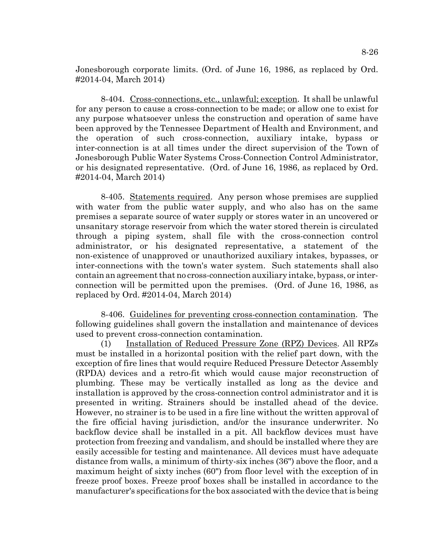Jonesborough corporate limits. (Ord. of June 16, 1986, as replaced by Ord. #2014-04, March 2014)

8-404. Cross-connections, etc., unlawful; exception. It shall be unlawful for any person to cause a cross-connection to be made; or allow one to exist for any purpose whatsoever unless the construction and operation of same have been approved by the Tennessee Department of Health and Environment, and the operation of such cross-connection, auxiliary intake, bypass or inter-connection is at all times under the direct supervision of the Town of Jonesborough Public Water Systems Cross-Connection Control Administrator, or his designated representative. (Ord. of June 16, 1986, as replaced by Ord. #2014-04, March 2014)

8-405. Statements required. Any person whose premises are supplied with water from the public water supply, and who also has on the same premises a separate source of water supply or stores water in an uncovered or unsanitary storage reservoir from which the water stored therein is circulated through a piping system, shall file with the cross-connection control administrator, or his designated representative, a statement of the non-existence of unapproved or unauthorized auxiliary intakes, bypasses, or inter-connections with the town's water system. Such statements shall also contain an agreement that no cross-connection auxiliary intake, bypass, or interconnection will be permitted upon the premises. (Ord. of June 16, 1986, as replaced by Ord. #2014-04, March 2014)

8-406. Guidelines for preventing cross-connection contamination. The following guidelines shall govern the installation and maintenance of devices used to prevent cross-connection contamination.

(1) Installation of Reduced Pressure Zone (RPZ) Devices. All RPZs must be installed in a horizontal position with the relief part down, with the exception of fire lines that would require Reduced Pressure Detector Assembly (RPDA) devices and a retro-fit which would cause major reconstruction of plumbing. These may be vertically installed as long as the device and installation is approved by the cross-connection control administrator and it is presented in writing. Strainers should be installed ahead of the device. However, no strainer is to be used in a fire line without the written approval of the fire official having jurisdiction, and/or the insurance underwriter. No backflow device shall be installed in a pit. All backflow devices must have protection from freezing and vandalism, and should be installed where they are easily accessible for testing and maintenance. All devices must have adequate distance from walls, a minimum of thirty-six inches (36") above the floor, and a maximum height of sixty inches (60") from floor level with the exception of in freeze proof boxes. Freeze proof boxes shall be installed in accordance to the manufacturer's specifications for the box associated with the device that is being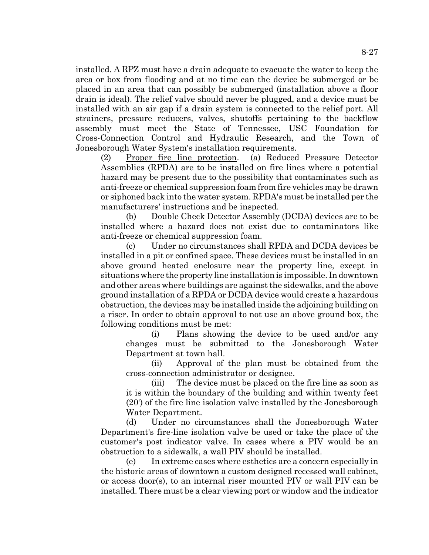installed. A RPZ must have a drain adequate to evacuate the water to keep the area or box from flooding and at no time can the device be submerged or be placed in an area that can possibly be submerged (installation above a floor drain is ideal). The relief valve should never be plugged, and a device must be installed with an air gap if a drain system is connected to the relief port. All strainers, pressure reducers, valves, shutoffs pertaining to the backflow assembly must meet the State of Tennessee, USC Foundation for Cross-Connection Control and Hydraulic Research, and the Town of Jonesborough Water System's installation requirements.

(2) Proper fire line protection. (a) Reduced Pressure Detector Assemblies (RPDA) are to be installed on fire lines where a potential hazard may be present due to the possibility that contaminates such as anti-freeze or chemical suppression foam from fire vehicles may be drawn or siphoned back into the water system. RPDA's must be installed per the manufacturers' instructions and be inspected.

(b) Double Check Detector Assembly (DCDA) devices are to be installed where a hazard does not exist due to contaminators like anti-freeze or chemical suppression foam.

(c) Under no circumstances shall RPDA and DCDA devices be installed in a pit or confined space. These devices must be installed in an above ground heated enclosure near the property line, except in situations where the property line installation is impossible. In downtown and other areas where buildings are against the sidewalks, and the above ground installation of a RPDA or DCDA device would create a hazardous obstruction, the devices may be installed inside the adjoining building on a riser. In order to obtain approval to not use an above ground box, the following conditions must be met:

(i) Plans showing the device to be used and/or any changes must be submitted to the Jonesborough Water Department at town hall.

(ii) Approval of the plan must be obtained from the cross-connection administrator or designee.

(iii) The device must be placed on the fire line as soon as it is within the boundary of the building and within twenty feet (20') of the fire line isolation valve installed by the Jonesborough Water Department.

(d) Under no circumstances shall the Jonesborough Water Department's fire-line isolation valve be used or take the place of the customer's post indicator valve. In cases where a PIV would be an obstruction to a sidewalk, a wall PIV should be installed.

(e) In extreme cases where esthetics are a concern especially in the historic areas of downtown a custom designed recessed wall cabinet, or access door(s), to an internal riser mounted PIV or wall PIV can be installed. There must be a clear viewing port or window and the indicator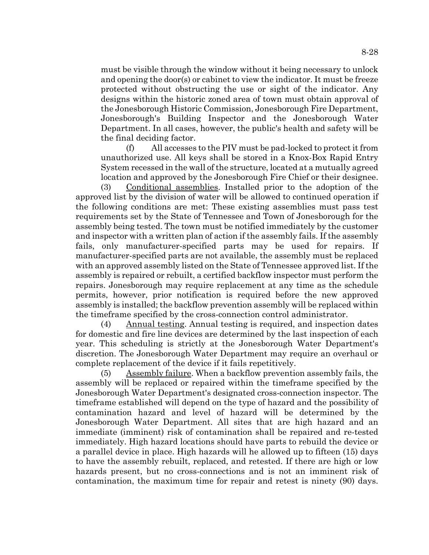must be visible through the window without it being necessary to unlock and opening the door(s) or cabinet to view the indicator. It must be freeze protected without obstructing the use or sight of the indicator. Any designs within the historic zoned area of town must obtain approval of the Jonesborough Historic Commission, Jonesborough Fire Department, Jonesborough's Building Inspector and the Jonesborough Water Department. In all cases, however, the public's health and safety will be the final deciding factor.

(f) All accesses to the PIV must be pad-locked to protect it from unauthorized use. All keys shall be stored in a Knox-Box Rapid Entry System recessed in the wall of the structure, located at a mutually agreed location and approved by the Jonesborough Fire Chief or their designee.

(3) Conditional assemblies. Installed prior to the adoption of the approved list by the division of water will be allowed to continued operation if the following conditions are met: These existing assemblies must pass test requirements set by the State of Tennessee and Town of Jonesborough for the assembly being tested. The town must be notified immediately by the customer and inspector with a written plan of action if the assembly fails. If the assembly fails, only manufacturer-specified parts may be used for repairs. If manufacturer-specified parts are not available, the assembly must be replaced with an approved assembly listed on the State of Tennessee approved list. If the assembly is repaired or rebuilt, a certified backflow inspector must perform the repairs. Jonesborough may require replacement at any time as the schedule permits, however, prior notification is required before the new approved assembly is installed; the backflow prevention assembly will be replaced within the timeframe specified by the cross-connection control administrator.

(4) Annual testing. Annual testing is required, and inspection dates for domestic and fire line devices are determined by the last inspection of each year. This scheduling is strictly at the Jonesborough Water Department's discretion. The Jonesborough Water Department may require an overhaul or complete replacement of the device if it fails repetitively.

(5) Assembly failure. When a backflow prevention assembly fails, the assembly will be replaced or repaired within the timeframe specified by the Jonesborough Water Department's designated cross-connection inspector. The timeframe established will depend on the type of hazard and the possibility of contamination hazard and level of hazard will be determined by the Jonesborough Water Department. All sites that are high hazard and an immediate (imminent) risk of contamination shall be repaired and re-tested immediately. High hazard locations should have parts to rebuild the device or a parallel device in place. High hazards will he allowed up to fifteen (15) days to have the assembly rebuilt, replaced, and retested. If there are high or low hazards present, but no cross-connections and is not an imminent risk of contamination, the maximum time for repair and retest is ninety (90) days.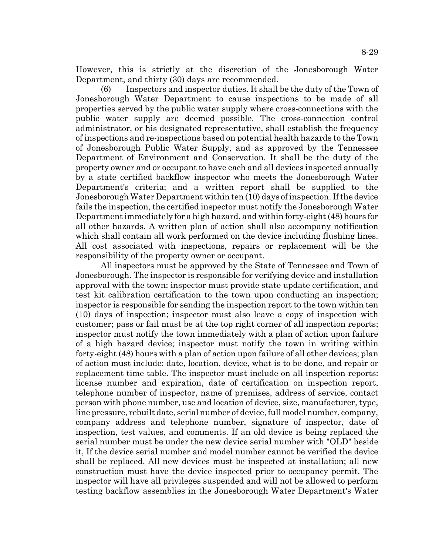However, this is strictly at the discretion of the Jonesborough Water Department, and thirty (30) days are recommended.

(6) Inspectors and inspector duties. It shall be the duty of the Town of Jonesborough Water Department to cause inspections to be made of all properties served by the public water supply where cross-connections with the public water supply are deemed possible. The cross-connection control administrator, or his designated representative, shall establish the frequency of inspections and re-inspections based on potential health hazards to the Town of Jonesborough Public Water Supply, and as approved by the Tennessee Department of Environment and Conservation. It shall be the duty of the property owner and or occupant to have each and all devices inspected annually by a state certified backflow inspector who meets the Jonesborough Water Department's criteria; and a written report shall be supplied to the Jonesborough Water Department within ten (10) days of inspection. If the device fails the inspection, the certified inspector must notify the Jonesborough Water Department immediately for a high hazard, and within forty-eight (48) hours for all other hazards. A written plan of action shall also accompany notification which shall contain all work performed on the device including flushing lines. All cost associated with inspections, repairs or replacement will be the responsibility of the property owner or occupant.

All inspectors must be approved by the State of Tennessee and Town of Jonesborough. The inspector is responsible for verifying device and installation approval with the town: inspector must provide state update certification, and test kit calibration certification to the town upon conducting an inspection; inspector is responsible for sending the inspection report to the town within ten (10) days of inspection; inspector must also leave a copy of inspection with customer; pass or fail must be at the top right corner of all inspection reports; inspector must notify the town immediately with a plan of action upon failure of a high hazard device; inspector must notify the town in writing within forty-eight (48) hours with a plan of action upon failure of all other devices; plan of action must include: date, location, device, what is to be done, and repair or replacement time table. The inspector must include on all inspection reports: license number and expiration, date of certification on inspection report, telephone number of inspector, name of premises, address of service, contact person with phone number, use and location of device, size, manufacturer, type, line pressure, rebuilt date, serial number of device, full model number, company, company address and telephone number, signature of inspector, date of inspection, test values, and comments. If an old device is being replaced the serial number must be under the new device serial number with "OLD" beside it, If the device serial number and model number cannot be verified the device shall be replaced. All new devices must be inspected at installation; all new construction must have the device inspected prior to occupancy permit. The inspector will have all privileges suspended and will not be allowed to perform testing backflow assemblies in the Jonesborough Water Department's Water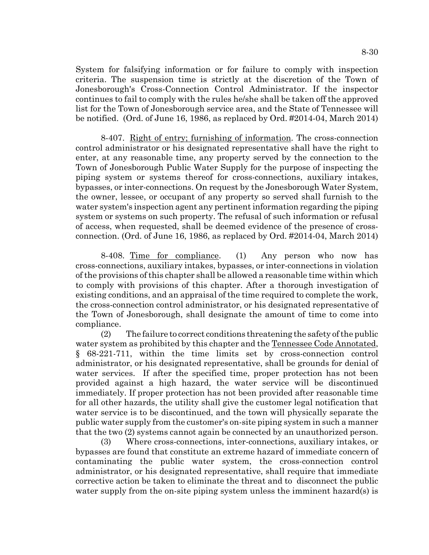System for falsifying information or for failure to comply with inspection criteria. The suspension time is strictly at the discretion of the Town of Jonesborough's Cross-Connection Control Administrator. If the inspector continues to fail to comply with the rules he/she shall be taken off the approved list for the Town of Jonesborough service area, and the State of Tennessee will be notified. (Ord. of June 16, 1986, as replaced by Ord. #2014-04, March 2014)

8-407. Right of entry; furnishing of information. The cross-connection control administrator or his designated representative shall have the right to enter, at any reasonable time, any property served by the connection to the Town of Jonesborough Public Water Supply for the purpose of inspecting the piping system or systems thereof for cross-connections, auxiliary intakes, bypasses, or inter-connections. On request by the Jonesborough Water System, the owner, lessee, or occupant of any property so served shall furnish to the water system's inspection agent any pertinent information regarding the piping system or systems on such property. The refusal of such information or refusal of access, when requested, shall be deemed evidence of the presence of crossconnection. (Ord. of June 16, 1986, as replaced by Ord. #2014-04, March 2014)

8-408. Time for compliance. (1) Any person who now has cross-connections, auxiliary intakes, bypasses, or inter-connections in violation of the provisions of this chapter shall be allowed a reasonable time within which to comply with provisions of this chapter. After a thorough investigation of existing conditions, and an appraisal of the time required to complete the work, the cross-connection control administrator, or his designated representative of the Town of Jonesborough, shall designate the amount of time to come into compliance.

(2) The failure to correct conditions threatening the safety of the public water system as prohibited by this chapter and the Tennessee Code Annotated, § 68-221-711, within the time limits set by cross-connection control administrator, or his designated representative, shall be grounds for denial of water services. If after the specified time, proper protection has not been provided against a high hazard, the water service will be discontinued immediately. If proper protection has not been provided after reasonable time for all other hazards, the utility shall give the customer legal notification that water service is to be discontinued, and the town will physically separate the public water supply from the customer's on-site piping system in such a manner that the two (2) systems cannot again be connected by an unauthorized person.

(3) Where cross-connections, inter-connections, auxiliary intakes, or bypasses are found that constitute an extreme hazard of immediate concern of contaminating the public water system, the cross-connection control administrator, or his designated representative, shall require that immediate corrective action be taken to eliminate the threat and to disconnect the public water supply from the on-site piping system unless the imminent hazard(s) is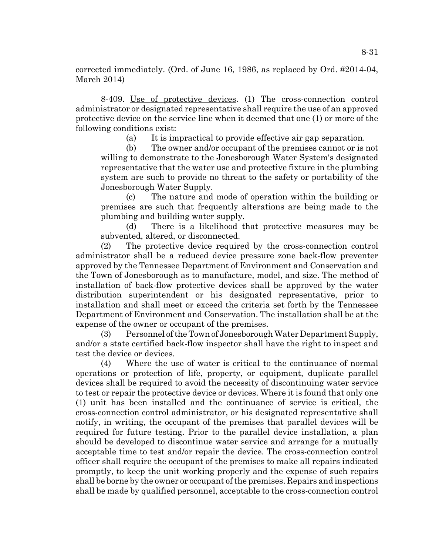corrected immediately. (Ord. of June 16, 1986, as replaced by Ord. #2014-04, March 2014)

8-409. Use of protective devices. (1) The cross-connection control administrator or designated representative shall require the use of an approved protective device on the service line when it deemed that one (1) or more of the following conditions exist:

(a) It is impractical to provide effective air gap separation.

(b) The owner and/or occupant of the premises cannot or is not willing to demonstrate to the Jonesborough Water System's designated representative that the water use and protective fixture in the plumbing system are such to provide no threat to the safety or portability of the Jonesborough Water Supply.

(c) The nature and mode of operation within the building or premises are such that frequently alterations are being made to the plumbing and building water supply.

(d) There is a likelihood that protective measures may be subvented, altered, or disconnected.

(2) The protective device required by the cross-connection control administrator shall be a reduced device pressure zone back-flow preventer approved by the Tennessee Department of Environment and Conservation and the Town of Jonesborough as to manufacture, model, and size. The method of installation of back-flow protective devices shall be approved by the water distribution superintendent or his designated representative, prior to installation and shall meet or exceed the criteria set forth by the Tennessee Department of Environment and Conservation. The installation shall be at the expense of the owner or occupant of the premises.

(3) Personnel of the Town of Jonesborough Water Department Supply, and/or a state certified back-flow inspector shall have the right to inspect and test the device or devices.

(4) Where the use of water is critical to the continuance of normal operations or protection of life, property, or equipment, duplicate parallel devices shall be required to avoid the necessity of discontinuing water service to test or repair the protective device or devices. Where it is found that only one (1) unit has been installed and the continuance of service is critical, the cross-connection control administrator, or his designated representative shall notify, in writing, the occupant of the premises that parallel devices will be required for future testing. Prior to the parallel device installation, a plan should be developed to discontinue water service and arrange for a mutually acceptable time to test and/or repair the device. The cross-connection control officer shall require the occupant of the premises to make all repairs indicated promptly, to keep the unit working properly and the expense of such repairs shall be borne by the owner or occupant of the premises. Repairs and inspections shall be made by qualified personnel, acceptable to the cross-connection control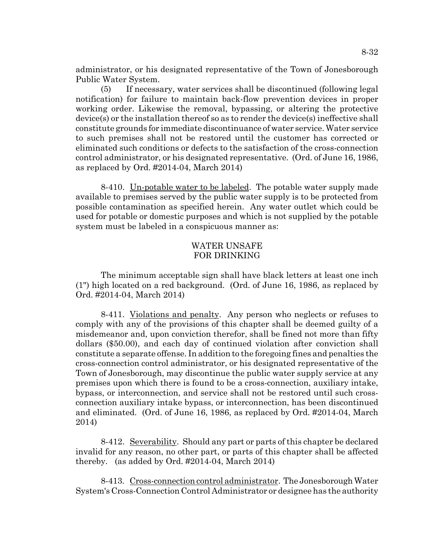administrator, or his designated representative of the Town of Jonesborough Public Water System.

(5) If necessary, water services shall be discontinued (following legal notification) for failure to maintain back-flow prevention devices in proper working order. Likewise the removal, bypassing, or altering the protective device(s) or the installation thereof so as to render the device(s) ineffective shall constitute grounds for immediate discontinuance of water service. Water service to such premises shall not be restored until the customer has corrected or eliminated such conditions or defects to the satisfaction of the cross-connection control administrator, or his designated representative. (Ord. of June 16, 1986, as replaced by Ord. #2014-04, March 2014)

8-410. Un-potable water to be labeled. The potable water supply made available to premises served by the public water supply is to be protected from possible contamination as specified herein. Any water outlet which could be used for potable or domestic purposes and which is not supplied by the potable system must be labeled in a conspicuous manner as:

## WATER UNSAFE FOR DRINKING

The minimum acceptable sign shall have black letters at least one inch (1") high located on a red background. (Ord. of June 16, 1986, as replaced by Ord. #2014-04, March 2014)

8-411. Violations and penalty. Any person who neglects or refuses to comply with any of the provisions of this chapter shall be deemed guilty of a misdemeanor and, upon conviction therefor, shall be fined not more than fifty dollars (\$50.00), and each day of continued violation after conviction shall constitute a separate offense. In addition to the foregoing fines and penalties the cross-connection control administrator, or his designated representative of the Town of Jonesborough, may discontinue the public water supply service at any premises upon which there is found to be a cross-connection, auxiliary intake, bypass, or interconnection, and service shall not be restored until such crossconnection auxiliary intake bypass, or interconnection, has been discontinued and eliminated. (Ord. of June 16, 1986, as replaced by Ord. #2014-04, March 2014)

8-412. Severability. Should any part or parts of this chapter be declared invalid for any reason, no other part, or parts of this chapter shall be affected thereby. (as added by Ord. #2014-04, March 2014)

8-413. Cross-connection control administrator. The Jonesborough Water System's Cross-Connection Control Administrator or designee has the authority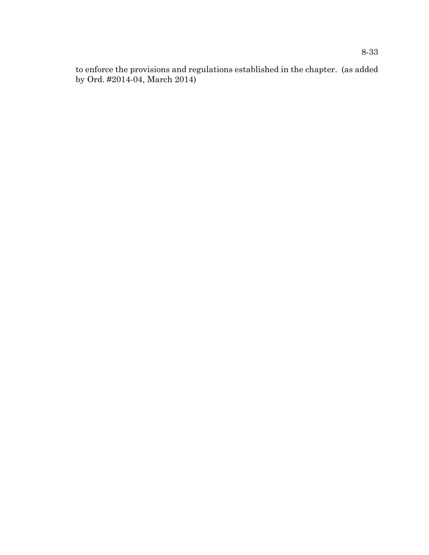to enforce the provisions and regulations established in the chapter. (as added by Ord. #2014-04, March 2014)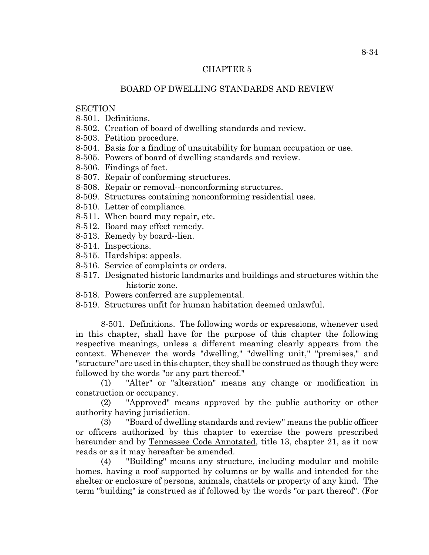## CHAPTER 5

## BOARD OF DWELLING STANDARDS AND REVIEW

## **SECTION**

- 8-501. Definitions.
- 8-502. Creation of board of dwelling standards and review.
- 8-503. Petition procedure.
- 8-504. Basis for a finding of unsuitability for human occupation or use.
- 8-505. Powers of board of dwelling standards and review.
- 8-506. Findings of fact.
- 8-507. Repair of conforming structures.
- 8-508. Repair or removal--nonconforming structures.
- 8-509. Structures containing nonconforming residential uses.
- 8-510. Letter of compliance.
- 8-511. When board may repair, etc.
- 8-512. Board may effect remedy.
- 8-513. Remedy by board--lien.
- 8-514. Inspections.
- 8-515. Hardships: appeals.
- 8-516. Service of complaints or orders.
- 8-517. Designated historic landmarks and buildings and structures within the historic zone.
- 8-518. Powers conferred are supplemental.
- 8-519. Structures unfit for human habitation deemed unlawful.

8-501. Definitions. The following words or expressions, whenever used in this chapter, shall have for the purpose of this chapter the following respective meanings, unless a different meaning clearly appears from the context. Whenever the words "dwelling," "dwelling unit," "premises," and "structure" are used in this chapter, they shall be construed as though they were followed by the words "or any part thereof."

(1) "Alter" or "alteration" means any change or modification in construction or occupancy.

(2) "Approved" means approved by the public authority or other authority having jurisdiction.

(3) "Board of dwelling standards and review" means the public officer or officers authorized by this chapter to exercise the powers prescribed hereunder and by Tennessee Code Annotated, title 13, chapter 21, as it now reads or as it may hereafter be amended.

(4) "Building" means any structure, including modular and mobile homes, having a roof supported by columns or by walls and intended for the shelter or enclosure of persons, animals, chattels or property of any kind. The term "building" is construed as if followed by the words "or part thereof". (For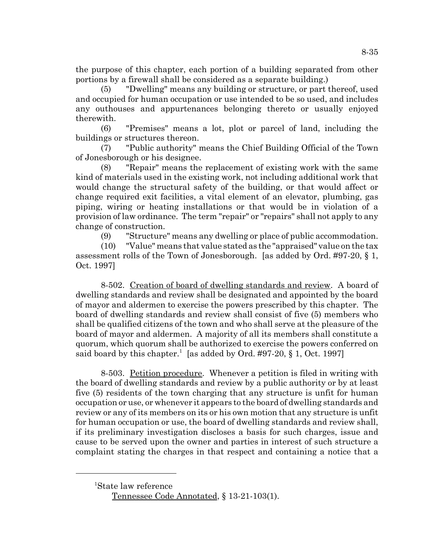the purpose of this chapter, each portion of a building separated from other portions by a firewall shall be considered as a separate building.)

(5) "Dwelling" means any building or structure, or part thereof, used and occupied for human occupation or use intended to be so used, and includes any outhouses and appurtenances belonging thereto or usually enjoyed therewith.

(6) "Premises" means a lot, plot or parcel of land, including the buildings or structures thereon.

(7) "Public authority" means the Chief Building Official of the Town of Jonesborough or his designee.

(8) "Repair" means the replacement of existing work with the same kind of materials used in the existing work, not including additional work that would change the structural safety of the building, or that would affect or change required exit facilities, a vital element of an elevator, plumbing, gas piping, wiring or heating installations or that would be in violation of a provision of law ordinance. The term "repair" or "repairs" shall not apply to any change of construction.

(9) "Structure" means any dwelling or place of public accommodation.

(10) "Value" means that value stated as the "appraised" value on the tax assessment rolls of the Town of Jonesborough. [as added by Ord. #97-20, § 1, Oct. 1997]

8-502. Creation of board of dwelling standards and review. A board of dwelling standards and review shall be designated and appointed by the board of mayor and aldermen to exercise the powers prescribed by this chapter. The board of dwelling standards and review shall consist of five (5) members who shall be qualified citizens of the town and who shall serve at the pleasure of the board of mayor and aldermen. A majority of all its members shall constitute a quorum, which quorum shall be authorized to exercise the powers conferred on said board by this chapter.<sup>1</sup> [as added by Ord. #97-20,  $\S$  1, Oct. 1997]

8-503. Petition procedure. Whenever a petition is filed in writing with the board of dwelling standards and review by a public authority or by at least five (5) residents of the town charging that any structure is unfit for human occupation or use, or whenever it appears to the board of dwelling standards and review or any of its members on its or his own motion that any structure is unfit for human occupation or use, the board of dwelling standards and review shall, if its preliminary investigation discloses a basis for such charges, issue and cause to be served upon the owner and parties in interest of such structure a complaint stating the charges in that respect and containing a notice that a

 <sup>1</sup> State law reference Tennessee Code Annotated, § 13-21-103(1).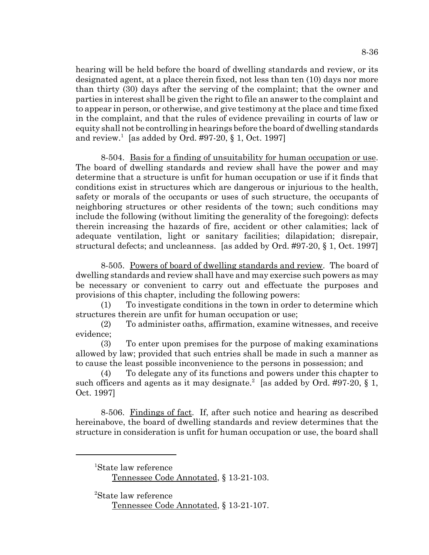hearing will be held before the board of dwelling standards and review, or its designated agent, at a place therein fixed, not less than ten (10) days nor more than thirty (30) days after the serving of the complaint; that the owner and parties in interest shall be given the right to file an answer to the complaint and to appear in person, or otherwise, and give testimony at the place and time fixed in the complaint, and that the rules of evidence prevailing in courts of law or equity shall not be controlling in hearings before the board of dwelling standards and review.<sup>1</sup> [as added by Ord. #97-20,  $\S 1$ , Oct. 1997]

8-504. Basis for a finding of unsuitability for human occupation or use. The board of dwelling standards and review shall have the power and may determine that a structure is unfit for human occupation or use if it finds that conditions exist in structures which are dangerous or injurious to the health, safety or morals of the occupants or uses of such structure, the occupants of neighboring structures or other residents of the town; such conditions may include the following (without limiting the generality of the foregoing): defects therein increasing the hazards of fire, accident or other calamities; lack of adequate ventilation, light or sanitary facilities; dilapidation; disrepair, structural defects; and uncleanness. [as added by Ord. #97-20, § 1, Oct. 1997]

8-505. Powers of board of dwelling standards and review. The board of dwelling standards and review shall have and may exercise such powers as may be necessary or convenient to carry out and effectuate the purposes and provisions of this chapter, including the following powers:

(1) To investigate conditions in the town in order to determine which structures therein are unfit for human occupation or use;

(2) To administer oaths, affirmation, examine witnesses, and receive evidence;

(3) To enter upon premises for the purpose of making examinations allowed by law; provided that such entries shall be made in such a manner as to cause the least possible inconvenience to the persons in possession; and

(4) To delegate any of its functions and powers under this chapter to such officers and agents as it may designate.<sup>2</sup> [as added by Ord. #97-20,  $\S$  1, Oct. 1997]

8-506. Findings of fact. If, after such notice and hearing as described hereinabove, the board of dwelling standards and review determines that the structure in consideration is unfit for human occupation or use, the board shall

<sup>1</sup> State law reference

Tennessee Code Annotated, § 13-21-103.

<sup>2</sup> State law reference Tennessee Code Annotated, § 13-21-107.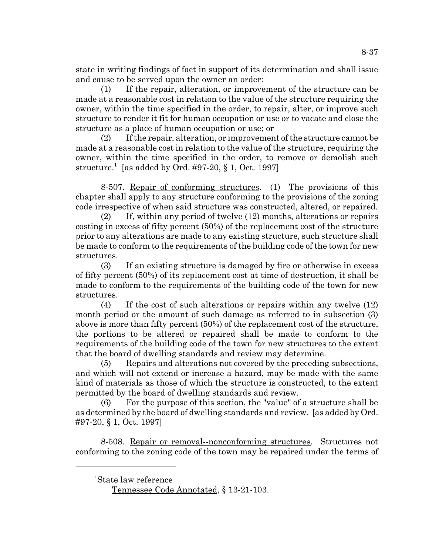state in writing findings of fact in support of its determination and shall issue and cause to be served upon the owner an order:

(1) If the repair, alteration, or improvement of the structure can be made at a reasonable cost in relation to the value of the structure requiring the owner, within the time specified in the order, to repair, alter, or improve such structure to render it fit for human occupation or use or to vacate and close the structure as a place of human occupation or use; or

(2) If the repair, alteration, or improvement of the structure cannot be made at a reasonable cost in relation to the value of the structure, requiring the owner, within the time specified in the order, to remove or demolish such structure.<sup>1</sup> [as added by Ord. #97-20, § 1, Oct. 1997]

8-507. Repair of conforming structures. (1) The provisions of this chapter shall apply to any structure conforming to the provisions of the zoning code irrespective of when said structure was constructed, altered, or repaired.

(2) If, within any period of twelve (12) months, alterations or repairs costing in excess of fifty percent (50%) of the replacement cost of the structure prior to any alterations are made to any existing structure, such structure shall be made to conform to the requirements of the building code of the town for new structures.

(3) If an existing structure is damaged by fire or otherwise in excess of fifty percent (50%) of its replacement cost at time of destruction, it shall be made to conform to the requirements of the building code of the town for new structures.

(4) If the cost of such alterations or repairs within any twelve (12) month period or the amount of such damage as referred to in subsection (3) above is more than fifty percent (50%) of the replacement cost of the structure, the portions to be altered or repaired shall be made to conform to the requirements of the building code of the town for new structures to the extent that the board of dwelling standards and review may determine.

(5) Repairs and alterations not covered by the preceding subsections, and which will not extend or increase a hazard, may be made with the same kind of materials as those of which the structure is constructed, to the extent permitted by the board of dwelling standards and review.

(6) For the purpose of this section, the "value" of a structure shall be as determined by the board of dwelling standards and review. [as added by Ord. #97-20, § 1, Oct. 1997]

8-508. Repair or removal--nonconforming structures. Structures not conforming to the zoning code of the town may be repaired under the terms of

<sup>1</sup> State law reference

Tennessee Code Annotated, § 13-21-103.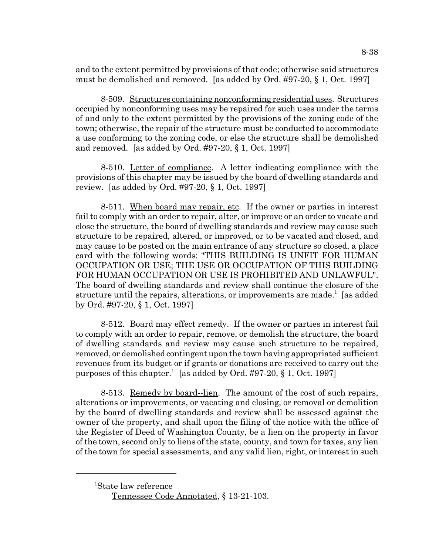and to the extent permitted by provisions of that code; otherwise said structures must be demolished and removed. [as added by Ord. #97-20, § 1, Oct. 1997]

8-509. Structures containing nonconforming residential uses. Structures occupied by nonconforming uses may be repaired for such uses under the terms of and only to the extent permitted by the provisions of the zoning code of the town; otherwise, the repair of the structure must be conducted to accommodate a use conforming to the zoning code, or else the structure shall be demolished and removed. [as added by Ord. #97-20, § 1, Oct. 1997]

8-510. Letter of compliance. A letter indicating compliance with the provisions of this chapter may be issued by the board of dwelling standards and review. [as added by Ord. #97-20, § 1, Oct. 1997]

8-511. When board may repair, etc. If the owner or parties in interest fail to comply with an order to repair, alter, or improve or an order to vacate and close the structure, the board of dwelling standards and review may cause such structure to be repaired, altered, or improved, or to be vacated and closed, and may cause to be posted on the main entrance of any structure so closed, a place card with the following words: "THIS BUILDING IS UNFIT FOR HUMAN OCCUPATION OR USE; THE USE OR OCCUPATION OF THIS BUILDING FOR HUMAN OCCUPATION OR USE IS PROHIBITED AND UNLAWFUL". The board of dwelling standards and review shall continue the closure of the structure until the repairs, alterations, or improvements are made.<sup>1</sup> [as added by Ord. #97-20, § 1, Oct. 1997]

8-512. Board may effect remedy. If the owner or parties in interest fail to comply with an order to repair, remove, or demolish the structure, the board of dwelling standards and review may cause such structure to be repaired, removed, or demolished contingent upon the town having appropriated sufficient revenues from its budget or if grants or donations are received to carry out the purposes of this chapter.<sup>1</sup> [as added by Ord. #97-20, § 1, Oct. 1997]

8-513. Remedy by board-lien. The amount of the cost of such repairs, alterations or improvements, or vacating and closing, or removal or demolition by the board of dwelling standards and review shall be assessed against the owner of the property, and shall upon the filing of the notice with the office of the Register of Deed of Washington County, be a lien on the property in favor of the town, second only to liens of the state, county, and town for taxes, any lien of the town for special assessments, and any valid lien, right, or interest in such

<sup>1</sup> State law reference Tennessee Code Annotated, § 13-21-103.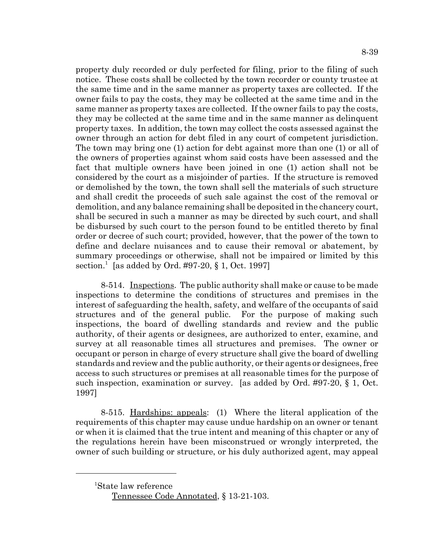property duly recorded or duly perfected for filing, prior to the filing of such notice. These costs shall be collected by the town recorder or county trustee at the same time and in the same manner as property taxes are collected. If the owner fails to pay the costs, they may be collected at the same time and in the same manner as property taxes are collected. If the owner fails to pay the costs, they may be collected at the same time and in the same manner as delinquent property taxes. In addition, the town may collect the costs assessed against the owner through an action for debt filed in any court of competent jurisdiction. The town may bring one (1) action for debt against more than one (1) or all of the owners of properties against whom said costs have been assessed and the fact that multiple owners have been joined in one (1) action shall not be considered by the court as a misjoinder of parties. If the structure is removed or demolished by the town, the town shall sell the materials of such structure and shall credit the proceeds of such sale against the cost of the removal or demolition, and any balance remaining shall be deposited in the chancery court, shall be secured in such a manner as may be directed by such court, and shall be disbursed by such court to the person found to be entitled thereto by final order or decree of such court; provided, however, that the power of the town to define and declare nuisances and to cause their removal or abatement, by summary proceedings or otherwise, shall not be impaired or limited by this section.<sup>1</sup> [as added by Ord. #97-20, § 1, Oct. 1997]

8-514. Inspections. The public authority shall make or cause to be made inspections to determine the conditions of structures and premises in the interest of safeguarding the health, safety, and welfare of the occupants of said structures and of the general public. For the purpose of making such inspections, the board of dwelling standards and review and the public authority, of their agents or designees, are authorized to enter, examine, and survey at all reasonable times all structures and premises. The owner or occupant or person in charge of every structure shall give the board of dwelling standards and review and the public authority, or their agents or designees, free access to such structures or premises at all reasonable times for the purpose of such inspection, examination or survey. [as added by Ord. #97-20, § 1, Oct. 1997]

8-515. Hardships: appeals: (1) Where the literal application of the requirements of this chapter may cause undue hardship on an owner or tenant or when it is claimed that the true intent and meaning of this chapter or any of the regulations herein have been misconstrued or wrongly interpreted, the owner of such building or structure, or his duly authorized agent, may appeal

<sup>1</sup> State law reference Tennessee Code Annotated, § 13-21-103.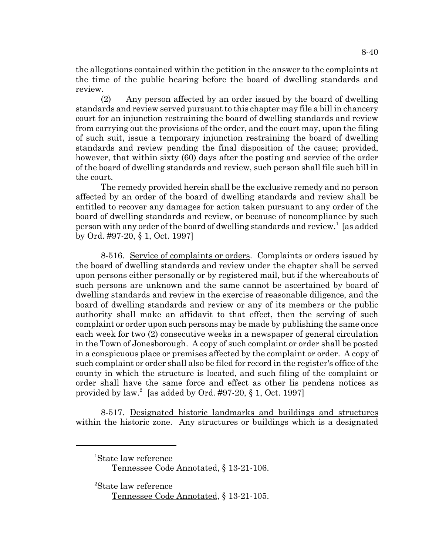the allegations contained within the petition in the answer to the complaints at the time of the public hearing before the board of dwelling standards and review.

(2) Any person affected by an order issued by the board of dwelling standards and review served pursuant to this chapter may file a bill in chancery court for an injunction restraining the board of dwelling standards and review from carrying out the provisions of the order, and the court may, upon the filing of such suit, issue a temporary injunction restraining the board of dwelling standards and review pending the final disposition of the cause; provided, however, that within sixty (60) days after the posting and service of the order of the board of dwelling standards and review, such person shall file such bill in the court.

The remedy provided herein shall be the exclusive remedy and no person affected by an order of the board of dwelling standards and review shall be entitled to recover any damages for action taken pursuant to any order of the board of dwelling standards and review, or because of noncompliance by such person with any order of the board of dwelling standards and review.<sup>1</sup> [as added by Ord. #97-20, § 1, Oct. 1997]

8-516. Service of complaints or orders. Complaints or orders issued by the board of dwelling standards and review under the chapter shall be served upon persons either personally or by registered mail, but if the whereabouts of such persons are unknown and the same cannot be ascertained by board of dwelling standards and review in the exercise of reasonable diligence, and the board of dwelling standards and review or any of its members or the public authority shall make an affidavit to that effect, then the serving of such complaint or order upon such persons may be made by publishing the same once each week for two (2) consecutive weeks in a newspaper of general circulation in the Town of Jonesborough. A copy of such complaint or order shall be posted in a conspicuous place or premises affected by the complaint or order. A copy of such complaint or order shall also be filed for record in the register's office of the county in which the structure is located, and such filing of the complaint or order shall have the same force and effect as other lis pendens notices as provided by law.<sup>2</sup> [as added by Ord. #97-20, § 1, Oct. 1997]

8-517. Designated historic landmarks and buildings and structures within the historic zone. Any structures or buildings which is a designated

 <sup>2</sup> State law reference Tennessee Code Annotated, § 13-21-105.

<sup>1</sup> State law reference

Tennessee Code Annotated, § 13-21-106.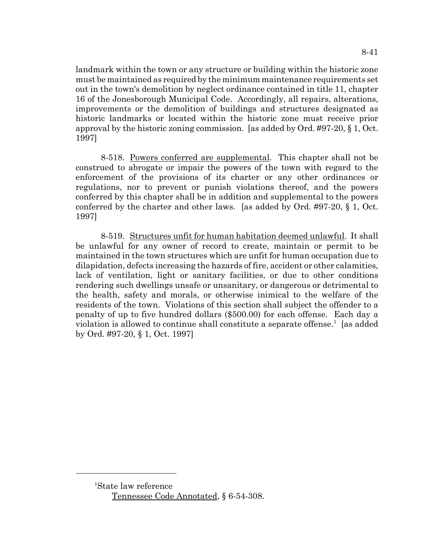landmark within the town or any structure or building within the historic zone must be maintained as required by the minimum maintenance requirements set out in the town's demolition by neglect ordinance contained in title 11, chapter 16 of the Jonesborough Municipal Code. Accordingly, all repairs, alterations, improvements or the demolition of buildings and structures designated as historic landmarks or located within the historic zone must receive prior approval by the historic zoning commission. [as added by Ord. #97-20,  $\S 1$ , Oct. 1997]

8-518. Powers conferred are supplemental. This chapter shall not be construed to abrogate or impair the powers of the town with regard to the enforcement of the provisions of its charter or any other ordinances or regulations, nor to prevent or punish violations thereof, and the powers conferred by this chapter shall be in addition and supplemental to the powers conferred by the charter and other laws. [as added by Ord. #97-20, § 1, Oct. 1997]

8-519. Structures unfit for human habitation deemed unlawful. It shall be unlawful for any owner of record to create, maintain or permit to be maintained in the town structures which are unfit for human occupation due to dilapidation, defects increasing the hazards of fire, accident or other calamities, lack of ventilation, light or sanitary facilities, or due to other conditions rendering such dwellings unsafe or unsanitary, or dangerous or detrimental to the health, safety and morals, or otherwise inimical to the welfare of the residents of the town. Violations of this section shall subject the offender to a penalty of up to five hundred dollars (\$500.00) for each offense. Each day a violation is allowed to continue shall constitute a separate offense.<sup>1</sup> [as added by Ord. #97-20, § 1, Oct. 1997]

<sup>1</sup> State law reference Tennessee Code Annotated, § 6-54-308.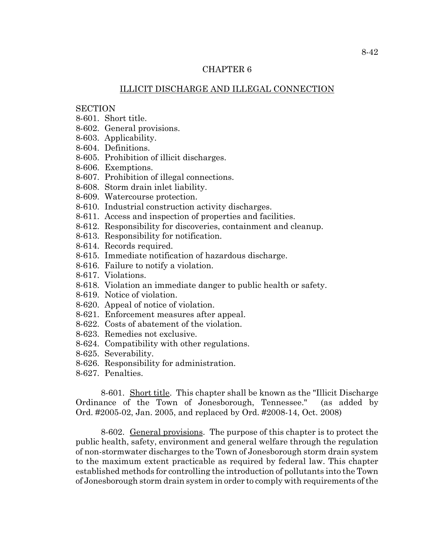## CHAPTER 6

## ILLICIT DISCHARGE AND ILLEGAL CONNECTION

### **SECTION**

- 8-601. Short title.
- 8-602. General provisions.
- 8-603. Applicability.
- 8-604. Definitions.
- 8-605. Prohibition of illicit discharges.
- 8-606. Exemptions.
- 8-607. Prohibition of illegal connections.
- 8-608. Storm drain inlet liability.
- 8-609. Watercourse protection.
- 8-610. Industrial construction activity discharges.
- 8-611. Access and inspection of properties and facilities.
- 8-612. Responsibility for discoveries, containment and cleanup.
- 8-613. Responsibility for notification.
- 8-614. Records required.
- 8-615. Immediate notification of hazardous discharge.
- 8-616. Failure to notify a violation.
- 8-617. Violations.
- 8-618. Violation an immediate danger to public health or safety.
- 8-619. Notice of violation.
- 8-620. Appeal of notice of violation.
- 8-621. Enforcement measures after appeal.
- 8-622. Costs of abatement of the violation.
- 8-623. Remedies not exclusive.
- 8-624. Compatibility with other regulations.
- 8-625. Severability.
- 8-626. Responsibility for administration.
- 8-627. Penalties.

8-601. Short title. This chapter shall be known as the "Illicit Discharge Ordinance of the Town of Jonesborough, Tennessee." (as added by Ord. #2005-02, Jan. 2005, and replaced by Ord. #2008-14, Oct. 2008)

8-602. General provisions. The purpose of this chapter is to protect the public health, safety, environment and general welfare through the regulation of non-stormwater discharges to the Town of Jonesborough storm drain system to the maximum extent practicable as required by federal law. This chapter established methods for controlling the introduction of pollutants into the Town of Jonesborough storm drain system in order to comply with requirements of the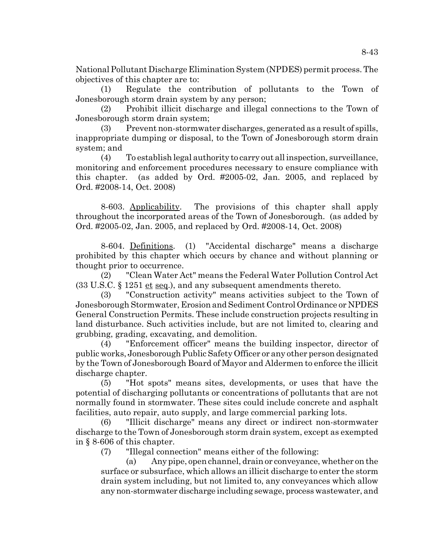National Pollutant Discharge Elimination System (NPDES) permit process. The objectives of this chapter are to:

(1) Regulate the contribution of pollutants to the Town of Jonesborough storm drain system by any person;

(2) Prohibit illicit discharge and illegal connections to the Town of Jonesborough storm drain system;

(3) Prevent non-stormwater discharges, generated as a result of spills, inappropriate dumping or disposal, to the Town of Jonesborough storm drain system; and

(4) To establish legal authority to carry out all inspection, surveillance, monitoring and enforcement procedures necessary to ensure compliance with this chapter. (as added by Ord. #2005-02, Jan. 2005, and replaced by Ord. #2008-14, Oct. 2008)

8-603. Applicability. The provisions of this chapter shall apply throughout the incorporated areas of the Town of Jonesborough. (as added by Ord. #2005-02, Jan. 2005, and replaced by Ord. #2008-14, Oct. 2008)

8-604. Definitions. (1) "Accidental discharge" means a discharge prohibited by this chapter which occurs by chance and without planning or thought prior to occurrence.

(2) "Clean Water Act" means the Federal Water Pollution Control Act  $(33 \text{ U.S.C. } \S 1251 \underline{\text{et seq.}})$ , and any subsequent amendments thereto.

(3) "Construction activity" means activities subject to the Town of Jonesborough Stormwater, Erosion and Sediment Control Ordinance or NPDES General Construction Permits. These include construction projects resulting in land disturbance. Such activities include, but are not limited to, clearing and grubbing, grading, excavating, and demolition.

(4) "Enforcement officer" means the building inspector, director of public works, Jonesborough Public Safety Officer or any other person designated by the Town of Jonesborough Board of Mayor and Aldermen to enforce the illicit discharge chapter.

(5) "Hot spots" means sites, developments, or uses that have the potential of discharging pollutants or concentrations of pollutants that are not normally found in stormwater. These sites could include concrete and asphalt facilities, auto repair, auto supply, and large commercial parking lots.

(6) "Illicit discharge" means any direct or indirect non-stormwater discharge to the Town of Jonesborough storm drain system, except as exempted in § 8-606 of this chapter.

(7) "Illegal connection" means either of the following:

(a) Any pipe, open channel, drain or conveyance, whether on the surface or subsurface, which allows an illicit discharge to enter the storm drain system including, but not limited to, any conveyances which allow any non-stormwater discharge including sewage, process wastewater, and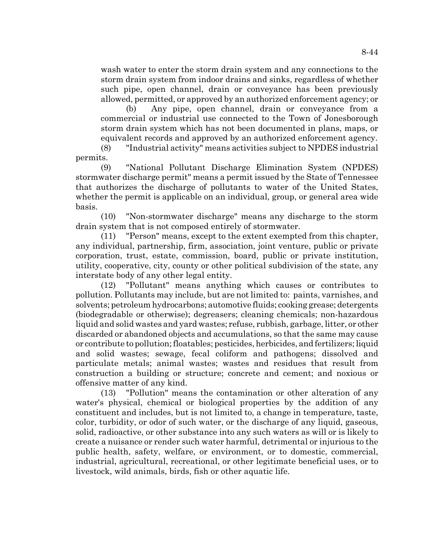wash water to enter the storm drain system and any connections to the storm drain system from indoor drains and sinks, regardless of whether such pipe, open channel, drain or conveyance has been previously allowed, permitted, or approved by an authorized enforcement agency; or

(b) Any pipe, open channel, drain or conveyance from a commercial or industrial use connected to the Town of Jonesborough storm drain system which has not been documented in plans, maps, or equivalent records and approved by an authorized enforcement agency.

(8) "Industrial activity" means activities subject to NPDES industrial permits.

(9) "National Pollutant Discharge Elimination System (NPDES) stormwater discharge permit" means a permit issued by the State of Tennessee that authorizes the discharge of pollutants to water of the United States, whether the permit is applicable on an individual, group, or general area wide basis.

(10) "Non-stormwater discharge" means any discharge to the storm drain system that is not composed entirely of stormwater.

(11) "Person" means, except to the extent exempted from this chapter, any individual, partnership, firm, association, joint venture, public or private corporation, trust, estate, commission, board, public or private institution, utility, cooperative, city, county or other political subdivision of the state, any interstate body of any other legal entity.

(12) "Pollutant" means anything which causes or contributes to pollution. Pollutants may include, but are not limited to: paints, varnishes, and solvents; petroleum hydrocarbons; automotive fluids; cooking grease; detergents (biodegradable or otherwise); degreasers; cleaning chemicals; non-hazardous liquid and solid wastes and yard wastes; refuse, rubbish, garbage, litter, or other discarded or abandoned objects and accumulations, so that the same may cause or contribute to pollution; floatables; pesticides, herbicides, and fertilizers; liquid and solid wastes; sewage, fecal coliform and pathogens; dissolved and particulate metals; animal wastes; wastes and residues that result from construction a building or structure; concrete and cement; and noxious or offensive matter of any kind.

(13) "Pollution" means the contamination or other alteration of any water's physical, chemical or biological properties by the addition of any constituent and includes, but is not limited to, a change in temperature, taste, color, turbidity, or odor of such water, or the discharge of any liquid, gaseous, solid, radioactive, or other substance into any such waters as will or is likely to create a nuisance or render such water harmful, detrimental or injurious to the public health, safety, welfare, or environment, or to domestic, commercial, industrial, agricultural, recreational, or other legitimate beneficial uses, or to livestock, wild animals, birds, fish or other aquatic life.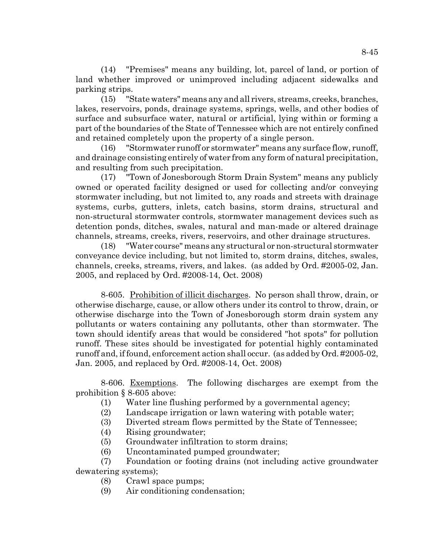(14) "Premises" means any building, lot, parcel of land, or portion of land whether improved or unimproved including adjacent sidewalks and parking strips.

(15) "State waters" means any and all rivers, streams, creeks, branches, lakes, reservoirs, ponds, drainage systems, springs, wells, and other bodies of surface and subsurface water, natural or artificial, lying within or forming a part of the boundaries of the State of Tennessee which are not entirely confined and retained completely upon the property of a single person.

(16) "Stormwater runoff or stormwater" means any surface flow, runoff, and drainage consisting entirely of water from any form of natural precipitation, and resulting from such precipitation.

(17) "Town of Jonesborough Storm Drain System" means any publicly owned or operated facility designed or used for collecting and/or conveying stormwater including, but not limited to, any roads and streets with drainage systems, curbs, gutters, inlets, catch basins, storm drains, structural and non-structural stormwater controls, stormwater management devices such as detention ponds, ditches, swales, natural and man-made or altered drainage channels, streams, creeks, rivers, reservoirs, and other drainage structures.

(18) "Water course" means any structural or non-structural stormwater conveyance device including, but not limited to, storm drains, ditches, swales, channels, creeks, streams, rivers, and lakes. (as added by Ord. #2005-02, Jan. 2005, and replaced by Ord. #2008-14, Oct. 2008)

8-605. Prohibition of illicit discharges. No person shall throw, drain, or otherwise discharge, cause, or allow others under its control to throw, drain, or otherwise discharge into the Town of Jonesborough storm drain system any pollutants or waters containing any pollutants, other than stormwater. The town should identify areas that would be considered "hot spots" for pollution runoff. These sites should be investigated for potential highly contaminated runoff and, if found, enforcement action shall occur. (as added by Ord. #2005-02, Jan. 2005, and replaced by Ord. #2008-14, Oct. 2008)

8-606. Exemptions. The following discharges are exempt from the prohibition § 8-605 above:

- (1) Water line flushing performed by a governmental agency;
- (2) Landscape irrigation or lawn watering with potable water;
- (3) Diverted stream flows permitted by the State of Tennessee;
- (4) Rising groundwater;
- (5) Groundwater infiltration to storm drains;
- (6) Uncontaminated pumped groundwater;
- (7) Foundation or footing drains (not including active groundwater dewatering systems);
	- (8) Crawl space pumps;
	- (9) Air conditioning condensation;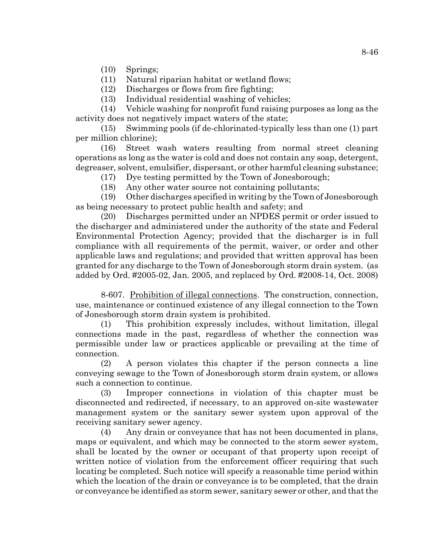(10) Springs;

(11) Natural riparian habitat or wetland flows;

(12) Discharges or flows from fire fighting;

(13) Individual residential washing of vehicles;

(14) Vehicle washing for nonprofit fund raising purposes as long as the activity does not negatively impact waters of the state;

(15) Swimming pools (if de-chlorinated-typically less than one (1) part per million chlorine);

(16) Street wash waters resulting from normal street cleaning operations as long as the water is cold and does not contain any soap, detergent, degreaser, solvent, emulsifier, dispersant, or other harmful cleaning substance;

(17) Dye testing permitted by the Town of Jonesborough;

(18) Any other water source not containing pollutants;

(19) Other discharges specified in writing by the Town of Jonesborough as being necessary to protect public health and safety; and

(20) Discharges permitted under an NPDES permit or order issued to the discharger and administered under the authority of the state and Federal Environmental Protection Agency; provided that the discharger is in full compliance with all requirements of the permit, waiver, or order and other applicable laws and regulations; and provided that written approval has been granted for any discharge to the Town of Jonesborough storm drain system. (as added by Ord. #2005-02, Jan. 2005, and replaced by Ord. #2008-14, Oct. 2008)

8-607. Prohibition of illegal connections. The construction, connection, use, maintenance or continued existence of any illegal connection to the Town of Jonesborough storm drain system is prohibited.

(1) This prohibition expressly includes, without limitation, illegal connections made in the past, regardless of whether the connection was permissible under law or practices applicable or prevailing at the time of connection.

(2) A person violates this chapter if the person connects a line conveying sewage to the Town of Jonesborough storm drain system, or allows such a connection to continue.

(3) Improper connections in violation of this chapter must be disconnected and redirected, if necessary, to an approved on-site wastewater management system or the sanitary sewer system upon approval of the receiving sanitary sewer agency.

(4) Any drain or conveyance that has not been documented in plans, maps or equivalent, and which may be connected to the storm sewer system, shall be located by the owner or occupant of that property upon receipt of written notice of violation from the enforcement officer requiring that such locating be completed. Such notice will specify a reasonable time period within which the location of the drain or conveyance is to be completed, that the drain or conveyance be identified as storm sewer, sanitary sewer or other, and that the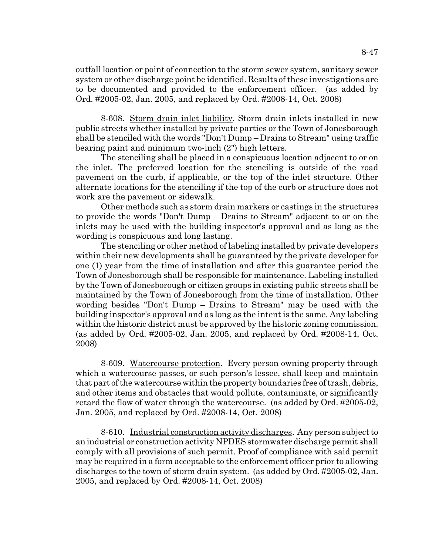outfall location or point of connection to the storm sewer system, sanitary sewer system or other discharge point be identified. Results of these investigations are to be documented and provided to the enforcement officer. (as added by Ord. #2005-02, Jan. 2005, and replaced by Ord. #2008-14, Oct. 2008)

8-608. Storm drain inlet liability. Storm drain inlets installed in new public streets whether installed by private parties or the Town of Jonesborough shall be stenciled with the words "Don't Dump – Drains to Stream" using traffic bearing paint and minimum two-inch (2") high letters.

The stenciling shall be placed in a conspicuous location adjacent to or on the inlet. The preferred location for the stenciling is outside of the road pavement on the curb, if applicable, or the top of the inlet structure. Other alternate locations for the stenciling if the top of the curb or structure does not work are the pavement or sidewalk.

Other methods such as storm drain markers or castings in the structures to provide the words "Don't Dump – Drains to Stream" adjacent to or on the inlets may be used with the building inspector's approval and as long as the wording is conspicuous and long lasting.

The stenciling or other method of labeling installed by private developers within their new developments shall be guaranteed by the private developer for one (1) year from the time of installation and after this guarantee period the Town of Jonesborough shall be responsible for maintenance. Labeling installed by the Town of Jonesborough or citizen groups in existing public streets shall be maintained by the Town of Jonesborough from the time of installation. Other wording besides "Don't Dump – Drains to Stream" may be used with the building inspector's approval and as long as the intent is the same. Any labeling within the historic district must be approved by the historic zoning commission. (as added by Ord. #2005-02, Jan. 2005, and replaced by Ord. #2008-14, Oct. 2008)

8-609. Watercourse protection. Every person owning property through which a watercourse passes, or such person's lessee, shall keep and maintain that part of the watercourse within the property boundaries free of trash, debris, and other items and obstacles that would pollute, contaminate, or significantly retard the flow of water through the watercourse. (as added by Ord. #2005-02, Jan. 2005, and replaced by Ord. #2008-14, Oct. 2008)

8-610. Industrial construction activity discharges. Any person subject to an industrial or construction activity NPDES stormwater discharge permit shall comply with all provisions of such permit. Proof of compliance with said permit may be required in a form acceptable to the enforcement officer prior to allowing discharges to the town of storm drain system. (as added by Ord. #2005-02, Jan. 2005, and replaced by Ord. #2008-14, Oct. 2008)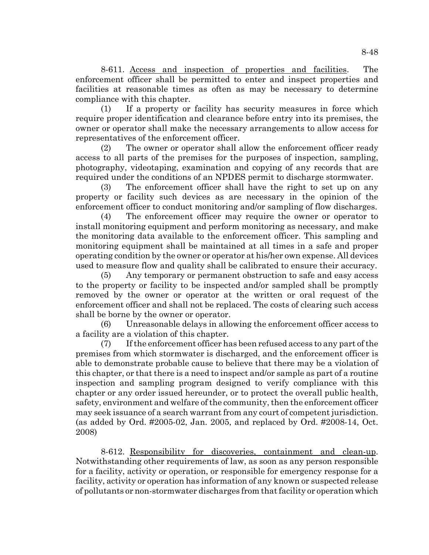8-611. Access and inspection of properties and facilities. The enforcement officer shall be permitted to enter and inspect properties and facilities at reasonable times as often as may be necessary to determine compliance with this chapter.

(1) If a property or facility has security measures in force which require proper identification and clearance before entry into its premises, the owner or operator shall make the necessary arrangements to allow access for representatives of the enforcement officer.

(2) The owner or operator shall allow the enforcement officer ready access to all parts of the premises for the purposes of inspection, sampling, photography, videotaping, examination and copying of any records that are required under the conditions of an NPDES permit to discharge stormwater.

(3) The enforcement officer shall have the right to set up on any property or facility such devices as are necessary in the opinion of the enforcement officer to conduct monitoring and/or sampling of flow discharges.

(4) The enforcement officer may require the owner or operator to install monitoring equipment and perform monitoring as necessary, and make the monitoring data available to the enforcement officer. This sampling and monitoring equipment shall be maintained at all times in a safe and proper operating condition by the owner or operator at his/her own expense. All devices used to measure flow and quality shall be calibrated to ensure their accuracy.

(5) Any temporary or permanent obstruction to safe and easy access to the property or facility to be inspected and/or sampled shall be promptly removed by the owner or operator at the written or oral request of the enforcement officer and shall not be replaced. The costs of clearing such access shall be borne by the owner or operator.

(6) Unreasonable delays in allowing the enforcement officer access to a facility are a violation of this chapter.

(7) If the enforcement officer has been refused access to any part of the premises from which stormwater is discharged, and the enforcement officer is able to demonstrate probable cause to believe that there may be a violation of this chapter, or that there is a need to inspect and/or sample as part of a routine inspection and sampling program designed to verify compliance with this chapter or any order issued hereunder, or to protect the overall public health, safety, environment and welfare of the community, then the enforcement officer may seek issuance of a search warrant from any court of competent jurisdiction. (as added by Ord. #2005-02, Jan. 2005, and replaced by Ord. #2008-14, Oct. 2008)

8-612. Responsibility for discoveries, containment and clean-up. Notwithstanding other requirements of law, as soon as any person responsible for a facility, activity or operation, or responsible for emergency response for a facility, activity or operation has information of any known or suspected release of pollutants or non-stormwater discharges from that facility or operation which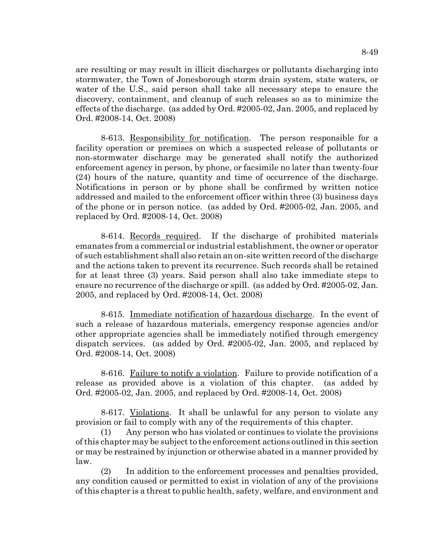are resulting or may result in illicit discharges or pollutants discharging into stormwater, the Town of Jonesborough storm drain system, state waters, or water of the U.S., said person shall take all necessary steps to ensure the discovery, containment, and cleanup of such releases so as to minimize the effects of the discharge. (as added by Ord. #2005-02, Jan. 2005, and replaced by Ord. #2008-14, Oct. 2008)

8-613. Responsibility for notification. The person responsible for a facility operation or premises on which a suspected release of pollutants or non-stormwater discharge may be generated shall notify the authorized enforcement agency in person, by phone, or facsimile no later than twenty-four (24) hours of the nature, quantity and time of occurrence of the discharge. Notifications in person or by phone shall be confirmed by written notice addressed and mailed to the enforcement officer within three (3) business days of the phone or in person notice. (as added by Ord. #2005-02, Jan. 2005, and replaced by Ord. #2008-14, Oct. 2008)

8-614. Records required. If the discharge of prohibited materials emanates from a commercial or industrial establishment, the owner or operator of such establishment shall also retain an on-site written record of the discharge and the actions taken to prevent its recurrence. Such records shall be retained for at least three (3) years. Said person shall also take immediate steps to ensure no recurrence of the discharge or spill. (as added by Ord. #2005-02, Jan. 2005, and replaced by Ord. #2008-14, Oct. 2008)

8-615. Immediate notification of hazardous discharge. In the event of such a release of hazardous materials, emergency response agencies and/or other appropriate agencies shall be immediately notified through emergency dispatch services. (as added by Ord. #2005-02, Jan. 2005, and replaced by Ord. #2008-14, Oct. 2008)

8-616. Failure to notify a violation. Failure to provide notification of a release as provided above is a violation of this chapter. (as added by Ord. #2005-02, Jan. 2005, and replaced by Ord. #2008-14, Oct. 2008)

8-617. Violations. It shall be unlawful for any person to violate any provision or fail to comply with any of the requirements of this chapter.

(1) Any person who has violated or continues to violate the provisions of this chapter may be subject to the enforcement actions outlined in this section or may be restrained by injunction or otherwise abated in a manner provided by law.

(2) In addition to the enforcement processes and penalties provided, any condition caused or permitted to exist in violation of any of the provisions of this chapter is a threat to public health, safety, welfare, and environment and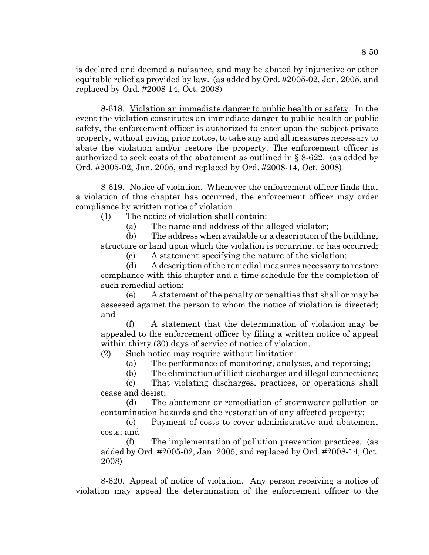is declared and deemed a nuisance, and may be abated by injunctive or other equitable relief as provided by law. (as added by Ord. #2005-02, Jan. 2005, and replaced by Ord. #2008-14, Oct. 2008)

8-618. Violation an immediate danger to public health or safety. In the event the violation constitutes an immediate danger to public health or public safety, the enforcement officer is authorized to enter upon the subject private property, without giving prior notice, to take any and all measures necessary to abate the violation and/or restore the property. The enforcement officer is authorized to seek costs of the abatement as outlined in § 8-622. (as added by Ord. #2005-02, Jan. 2005, and replaced by Ord. #2008-14, Oct. 2008)

8-619. Notice of violation. Whenever the enforcement officer finds that a violation of this chapter has occurred, the enforcement officer may order compliance by written notice of violation.

(1) The notice of violation shall contain:

(a) The name and address of the alleged violator;

(b) The address when available or a description of the building, structure or land upon which the violation is occurring, or has occurred;

(c) A statement specifying the nature of the violation;

(d) A description of the remedial measures necessary to restore compliance with this chapter and a time schedule for the completion of such remedial action;

(e) A statement of the penalty or penalties that shall or may be assessed against the person to whom the notice of violation is directed; and

(f) A statement that the determination of violation may be appealed to the enforcement officer by filing a written notice of appeal within thirty (30) days of service of notice of violation.

(2) Such notice may require without limitation:

(a) The performance of monitoring, analyses, and reporting;

(b) The elimination of illicit discharges and illegal connections;

(c) That violating discharges, practices, or operations shall cease and desist;

(d) The abatement or remediation of stormwater pollution or contamination hazards and the restoration of any affected property;

(e) Payment of costs to cover administrative and abatement costs; and

The implementation of pollution prevention practices. (as added by Ord. #2005-02, Jan. 2005, and replaced by Ord. #2008-14, Oct. 2008)

8-620. Appeal of notice of violation. Any person receiving a notice of violation may appeal the determination of the enforcement officer to the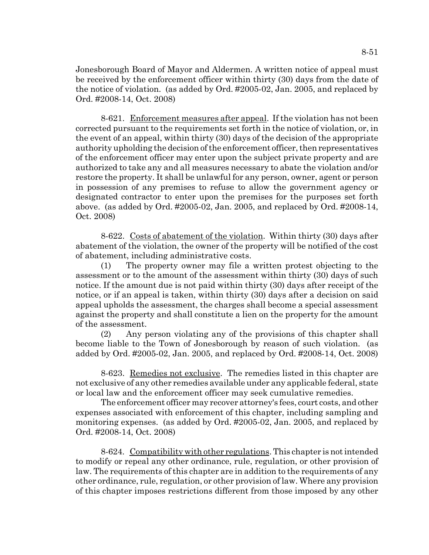Jonesborough Board of Mayor and Aldermen. A written notice of appeal must be received by the enforcement officer within thirty (30) days from the date of the notice of violation. (as added by Ord. #2005-02, Jan. 2005, and replaced by Ord. #2008-14, Oct. 2008)

8-621. Enforcement measures after appeal. If the violation has not been corrected pursuant to the requirements set forth in the notice of violation, or, in the event of an appeal, within thirty (30) days of the decision of the appropriate authority upholding the decision of the enforcement officer, then representatives of the enforcement officer may enter upon the subject private property and are authorized to take any and all measures necessary to abate the violation and/or restore the property. It shall be unlawful for any person, owner, agent or person in possession of any premises to refuse to allow the government agency or designated contractor to enter upon the premises for the purposes set forth above. (as added by Ord. #2005-02, Jan. 2005, and replaced by Ord. #2008-14, Oct. 2008)

8-622. Costs of abatement of the violation. Within thirty (30) days after abatement of the violation, the owner of the property will be notified of the cost of abatement, including administrative costs.

(1) The property owner may file a written protest objecting to the assessment or to the amount of the assessment within thirty (30) days of such notice. If the amount due is not paid within thirty (30) days after receipt of the notice, or if an appeal is taken, within thirty (30) days after a decision on said appeal upholds the assessment, the charges shall become a special assessment against the property and shall constitute a lien on the property for the amount of the assessment.

(2) Any person violating any of the provisions of this chapter shall become liable to the Town of Jonesborough by reason of such violation. (as added by Ord. #2005-02, Jan. 2005, and replaced by Ord. #2008-14, Oct. 2008)

8-623. Remedies not exclusive. The remedies listed in this chapter are not exclusive of any other remedies available under any applicable federal, state or local law and the enforcement officer may seek cumulative remedies.

The enforcement officer may recover attorney's fees, court costs, and other expenses associated with enforcement of this chapter, including sampling and monitoring expenses. (as added by Ord. #2005-02, Jan. 2005, and replaced by Ord. #2008-14, Oct. 2008)

8-624. Compatibility with other regulations. This chapter is not intended to modify or repeal any other ordinance, rule, regulation, or other provision of law. The requirements of this chapter are in addition to the requirements of any other ordinance, rule, regulation, or other provision of law. Where any provision of this chapter imposes restrictions different from those imposed by any other